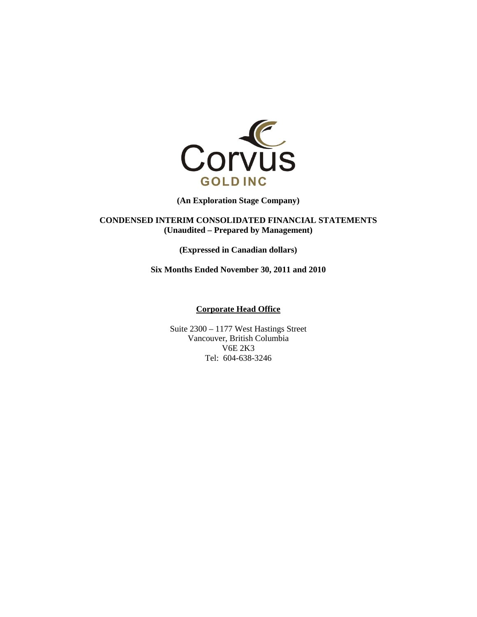

**(An Exploration Stage Company)** 

**CONDENSED INTERIM CONSOLIDATED FINANCIAL STATEMENTS (Unaudited – Prepared by Management)** 

**(Expressed in Canadian dollars)** 

**Six Months Ended November 30, 2011 and 2010** 

# **Corporate Head Office**

Suite 2300 – 1177 West Hastings Street Vancouver, British Columbia V6E 2K3 Tel: 604-638-3246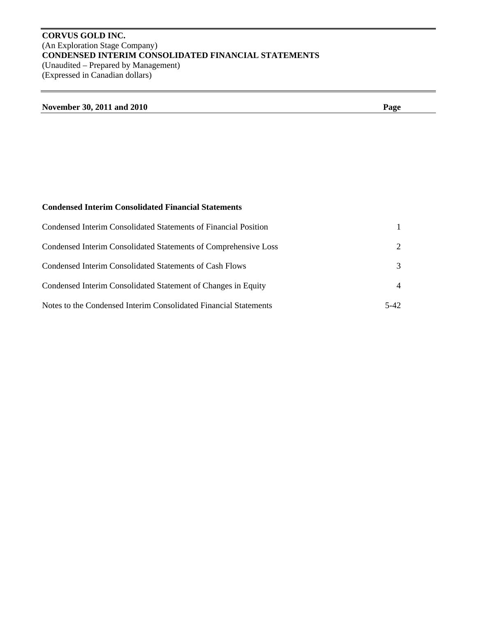# **CORVUS GOLD INC.**  (An Exploration Stage Company) **CONDENSED INTERIM CONSOLIDATED FINANCIAL STATEMENTS**  (Unaudited – Prepared by Management) (Expressed in Canadian dollars)

# **November 30, 2011 and 2010** Page

# **Condensed Interim Consolidated Financial Statements**

| Condensed Interim Consolidated Statements of Financial Position  |                             |
|------------------------------------------------------------------|-----------------------------|
| Condensed Interim Consolidated Statements of Comprehensive Loss  | $\mathcal{D}_{\mathcal{L}}$ |
| Condensed Interim Consolidated Statements of Cash Flows          | 3                           |
| Condensed Interim Consolidated Statement of Changes in Equity    | $\overline{4}$              |
| Notes to the Condensed Interim Consolidated Financial Statements | 5-42                        |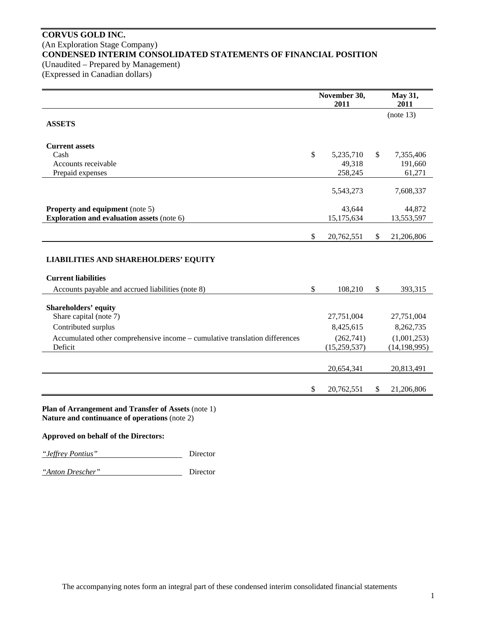# **CORVUS GOLD INC.**  (An Exploration Stage Company) **CONDENSED INTERIM CONSOLIDATED STATEMENTS OF FINANCIAL POSITION**  (Unaudited – Prepared by Management)

(Expressed in Canadian dollars)

|                                                                                                      | November 30,<br>2011      | May 31,<br>2011               |
|------------------------------------------------------------------------------------------------------|---------------------------|-------------------------------|
| <b>ASSETS</b>                                                                                        |                           | (note 13)                     |
| <b>Current assets</b><br>Cash                                                                        | \$<br>5,235,710           | \$<br>7,355,406               |
| Accounts receivable<br>Prepaid expenses                                                              | 49,318<br>258,245         | 191,660<br>61,271             |
|                                                                                                      | 5,543,273                 | 7,608,337                     |
| <b>Property and equipment</b> (note 5)<br><b>Exploration and evaluation assets (note 6)</b>          | 43,644<br>15,175,634      | 44,872<br>13,553,597          |
|                                                                                                      | \$<br>20,762,551          | \$<br>21,206,806              |
| <b>LIABILITIES AND SHAREHOLDERS' EQUITY</b>                                                          |                           |                               |
| <b>Current liabilities</b>                                                                           |                           |                               |
| Accounts payable and accrued liabilities (note 8)                                                    | \$<br>108,210             | \$<br>393,315                 |
| <b>Shareholders' equity</b><br>Share capital (note 7)                                                | 27,751,004                | 27,751,004                    |
| Contributed surplus                                                                                  | 8,425,615                 | 8,262,735                     |
| Accumulated other comprehensive income - cumulative translation differences<br>Deficit               | (262,741)<br>(15,259,537) | (1,001,253)<br>(14, 198, 995) |
|                                                                                                      | 20,654,341                | 20,813,491                    |
|                                                                                                      | \$<br>20,762,551          | \$<br>21,206,806              |
| Plan of Arrangement and Transfer of Assets (note 1)<br>Nature and continuance of operations (note 2) |                           |                               |

**Approved on behalf of the Directors:** 

*"Jeffrey Pontius"* Director

*"Anton Drescher"* Director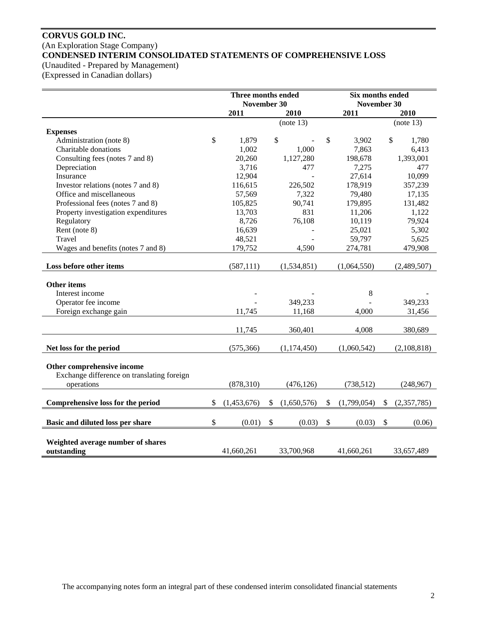# **CORVUS GOLD INC.**  (An Exploration Stage Company) **CONDENSED INTERIM CONSOLIDATED STATEMENTS OF COMPREHENSIVE LOSS**

(Unaudited - Prepared by Management)

(Expressed in Canadian dollars)

|                                                  | Three months ended<br>November 30 |             |    |             | Six months ended<br>November 30 |    |             |
|--------------------------------------------------|-----------------------------------|-------------|----|-------------|---------------------------------|----|-------------|
|                                                  | 2011<br>2010                      |             |    | 2011        | 2010                            |    |             |
|                                                  |                                   |             |    | (note 13)   |                                 |    | (note 13)   |
| <b>Expenses</b>                                  |                                   |             |    |             |                                 |    |             |
| Administration (note 8)                          | \$                                | 1,879       |    | \$          | \$<br>3,902                     | \$ | 1,780       |
| Charitable donations                             |                                   | 1,002       |    | 1,000       | 7,863                           |    | 6,413       |
| Consulting fees (notes 7 and 8)                  |                                   | 20,260      |    | 1,127,280   | 198,678                         |    | 1,393,001   |
| Depreciation                                     |                                   | 3,716       |    | 477         | 7,275                           |    | 477         |
| Insurance                                        |                                   | 12,904      |    |             | 27,614                          |    | 10,099      |
| Investor relations (notes 7 and 8)               |                                   | 116,615     |    | 226,502     | 178,919                         |    | 357,239     |
| Office and miscellaneous                         |                                   | 57,569      |    | 7,322       | 79,480                          |    | 17,135      |
| Professional fees (notes 7 and 8)                |                                   | 105,825     |    | 90,741      | 179,895                         |    | 131,482     |
| Property investigation expenditures              |                                   | 13,703      |    | 831         | 11,206                          |    | 1,122       |
| Regulatory                                       |                                   | 8,726       |    | 76,108      | 10,119                          |    | 79,924      |
| Rent (note 8)                                    |                                   | 16,639      |    |             | 25,021                          |    | 5,302       |
| Travel                                           |                                   | 48,521      |    |             | 59,797                          |    | 5,625       |
| Wages and benefits (notes 7 and 8)               |                                   | 179,752     |    | 4,590       | 274,781                         |    | 479,908     |
| Loss before other items                          |                                   | (587, 111)  |    | (1,534,851) | (1,064,550)                     |    | (2,489,507) |
|                                                  |                                   |             |    |             |                                 |    |             |
| <b>Other items</b>                               |                                   |             |    |             |                                 |    |             |
| Interest income                                  |                                   |             |    |             | 8                               |    |             |
| Operator fee income                              |                                   |             |    | 349,233     |                                 |    | 349,233     |
| Foreign exchange gain                            |                                   | 11,745      |    | 11,168      | 4,000                           |    | 31,456      |
|                                                  |                                   |             |    |             |                                 |    |             |
|                                                  |                                   | 11,745      |    | 360,401     | 4,008                           |    | 380,689     |
| Net loss for the period                          |                                   | (575, 366)  |    | (1,174,450) | (1,060,542)                     |    | (2,108,818) |
|                                                  |                                   |             |    |             |                                 |    |             |
| Other comprehensive income                       |                                   |             |    |             |                                 |    |             |
| Exchange difference on translating foreign       |                                   |             |    |             |                                 |    |             |
| operations                                       |                                   | (878, 310)  |    | (476, 126)  | (738, 512)                      |    | (248,967)   |
| Comprehensive loss for the period                | \$                                | (1,453,676) | \$ | (1,650,576) | \$<br>(1,799,054)               | \$ | (2,357,785) |
|                                                  |                                   |             |    |             |                                 |    |             |
| Basic and diluted loss per share                 | \$                                | (0.01)      | \$ | (0.03)      | \$<br>(0.03)                    | \$ | (0.06)      |
|                                                  |                                   |             |    |             |                                 |    |             |
| Weighted average number of shares<br>outstanding |                                   | 41,660,261  |    | 33,700,968  | 41,660,261                      |    | 33,657,489  |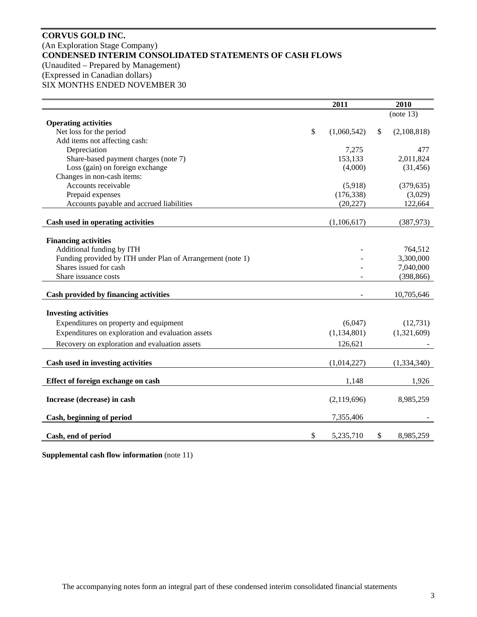# **CORVUS GOLD INC.**  (An Exploration Stage Company) **CONDENSED INTERIM CONSOLIDATED STATEMENTS OF CASH FLOWS**  (Unaudited – Prepared by Management) (Expressed in Canadian dollars) SIX MONTHS ENDED NOVEMBER 30

|                                                                                      | 2011              | 2010              |
|--------------------------------------------------------------------------------------|-------------------|-------------------|
|                                                                                      |                   | (note 13)         |
| <b>Operating activities</b>                                                          |                   |                   |
| Net loss for the period                                                              | \$<br>(1,060,542) | \$<br>(2,108,818) |
| Add items not affecting cash:                                                        |                   |                   |
| Depreciation                                                                         | 7,275             | 477               |
| Share-based payment charges (note 7)                                                 | 153,133           | 2,011,824         |
| Loss (gain) on foreign exchange                                                      | (4,000)           | (31, 456)         |
| Changes in non-cash items:                                                           |                   |                   |
| Accounts receivable                                                                  | (5,918)           | (379, 635)        |
| Prepaid expenses                                                                     | (176, 338)        | (3,029)           |
| Accounts payable and accrued liabilities                                             | (20, 227)         | 122,664           |
|                                                                                      |                   |                   |
| Cash used in operating activities                                                    | (1,106,617)       | (387, 973)        |
|                                                                                      |                   |                   |
| <b>Financing activities</b><br>Additional funding by ITH                             |                   | 764,512           |
|                                                                                      |                   | 3,300,000         |
| Funding provided by ITH under Plan of Arrangement (note 1)<br>Shares issued for cash |                   | 7,040,000         |
| Share issuance costs                                                                 |                   | (398, 866)        |
|                                                                                      |                   |                   |
| Cash provided by financing activities                                                |                   | 10,705,646        |
|                                                                                      |                   |                   |
| <b>Investing activities</b>                                                          |                   |                   |
| Expenditures on property and equipment                                               | (6,047)           | (12, 731)         |
| Expenditures on exploration and evaluation assets                                    | (1, 134, 801)     | (1,321,609)       |
| Recovery on exploration and evaluation assets                                        | 126,621           |                   |
|                                                                                      |                   |                   |
| Cash used in investing activities                                                    | (1,014,227)       | (1,334,340)       |
| Effect of foreign exchange on cash                                                   | 1,148             | 1,926             |
|                                                                                      |                   |                   |
| Increase (decrease) in cash                                                          | (2,119,696)       | 8,985,259         |
| Cash, beginning of period                                                            | 7,355,406         |                   |
|                                                                                      | \$<br>5,235,710   | \$<br>8,985,259   |
| Cash, end of period                                                                  |                   |                   |

**Supplemental cash flow information** (note 11)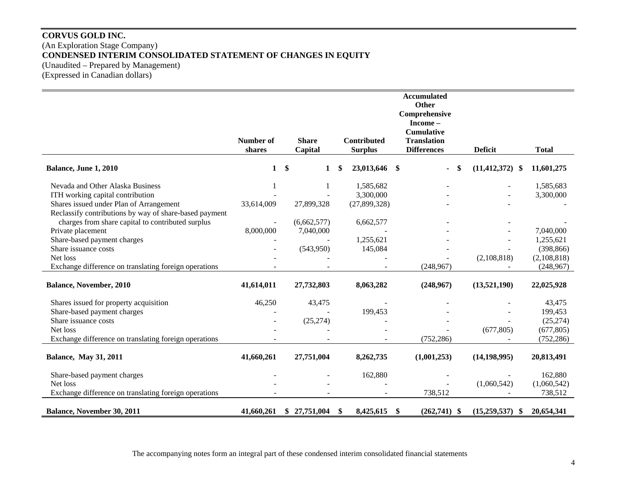# **CORVUS GOLD INC.**  (An Exploration Stage Company) **CONDENSED INTERIM CONSOLIDATED STATEMENT OF CHANGES IN EQUITY**  (Unaudited – Prepared by Management) (Expressed in Canadian dollars)

|                                                        |              |                   |     |                    | <b>Accumulated</b><br>Other |                     |              |
|--------------------------------------------------------|--------------|-------------------|-----|--------------------|-----------------------------|---------------------|--------------|
|                                                        |              |                   |     |                    | Comprehensive               |                     |              |
|                                                        |              |                   |     |                    | Income-                     |                     |              |
|                                                        |              |                   |     |                    | <b>Cumulative</b>           |                     |              |
|                                                        | Number of    | <b>Share</b>      |     | <b>Contributed</b> | <b>Translation</b>          |                     |              |
|                                                        | shares       | Capital           |     | <b>Surplus</b>     | <b>Differences</b>          | <b>Deficit</b>      | <b>Total</b> |
| Balance, June 1, 2010                                  | $\mathbf{1}$ | \$<br>$\mathbf 1$ | \$. | 23,013,646 \$      | <sup>\$</sup>               | $(11, 412, 372)$ \$ | 11,601,275   |
| Nevada and Other Alaska Business                       |              | 1                 |     | 1,585,682          |                             |                     | 1,585,683    |
| ITH working capital contribution                       |              |                   |     | 3,300,000          |                             |                     | 3,300,000    |
| Shares issued under Plan of Arrangement                | 33,614,009   | 27,899,328        |     | (27,899,328)       |                             |                     |              |
| Reclassify contributions by way of share-based payment |              |                   |     |                    |                             |                     |              |
| charges from share capital to contributed surplus      |              | (6,662,577)       |     | 6,662,577          |                             |                     |              |
| Private placement                                      | 8,000,000    | 7,040,000         |     |                    |                             |                     | 7,040,000    |
| Share-based payment charges                            |              |                   |     | 1,255,621          |                             |                     | 1,255,621    |
| Share issuance costs                                   |              | (543,950)         |     | 145,084            |                             |                     | (398, 866)   |
| Net loss                                               |              |                   |     |                    |                             | (2,108,818)         | (2,108,818)  |
| Exchange difference on translating foreign operations  |              |                   |     |                    | (248,967)                   |                     | (248,967)    |
| <b>Balance, November, 2010</b>                         | 41,614,011   | 27,732,803        |     | 8,063,282          | (248,967)                   | (13,521,190)        | 22,025,928   |
| Shares issued for property acquisition                 | 46,250       | 43,475            |     |                    |                             |                     | 43,475       |
| Share-based payment charges                            |              |                   |     | 199,453            |                             |                     | 199,453      |
| Share issuance costs                                   |              | (25, 274)         |     |                    |                             |                     | (25, 274)    |
| Net loss                                               |              |                   |     |                    |                             | (677, 805)          | (677, 805)   |
| Exchange difference on translating foreign operations  |              |                   |     |                    | (752, 286)                  |                     | (752, 286)   |
| <b>Balance, May 31, 2011</b>                           | 41,660,261   | 27,751,004        |     | 8,262,735          | (1,001,253)                 | (14, 198, 995)      | 20,813,491   |
| Share-based payment charges                            |              |                   |     | 162,880            |                             |                     | 162,880      |
| Net loss                                               |              |                   |     |                    |                             | (1,060,542)         | (1,060,542)  |
| Exchange difference on translating foreign operations  |              |                   |     |                    | 738,512                     |                     | 738,512      |
| <b>Balance, November 30, 2011</b>                      | 41,660,261   | \$27,751,004      | \$. | 8,425,615          | $(262,741)$ \$<br>-S        | (15,259,537)<br>-SS | 20,654,341   |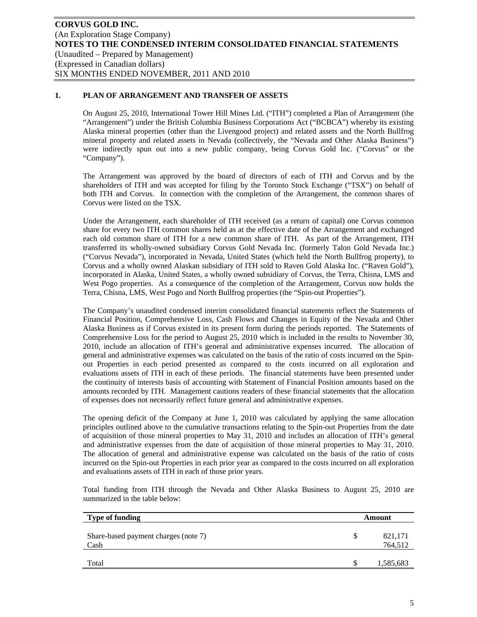# **1. PLAN OF ARRANGEMENT AND TRANSFER OF ASSETS**

On August 25, 2010, International Tower Hill Mines Ltd. ("ITH") completed a Plan of Arrangement (the "Arrangement") under the British Columbia Business Corporations Act ("BCBCA") whereby its existing Alaska mineral properties (other than the Livengood project) and related assets and the North Bullfrog mineral property and related assets in Nevada (collectively, the "Nevada and Other Alaska Business") were indirectly spun out into a new public company, being Corvus Gold Inc. ("Corvus" or the "Company").

The Arrangement was approved by the board of directors of each of ITH and Corvus and by the shareholders of ITH and was accepted for filing by the Toronto Stock Exchange ("TSX") on behalf of both ITH and Corvus. In connection with the completion of the Arrangement, the common shares of Corvus were listed on the TSX.

Under the Arrangement, each shareholder of ITH received (as a return of capital) one Corvus common share for every two ITH common shares held as at the effective date of the Arrangement and exchanged each old common share of ITH for a new common share of ITH. As part of the Arrangement, ITH transferred its wholly-owned subsidiary Corvus Gold Nevada Inc. (formerly Talon Gold Nevada Inc.) ("Corvus Nevada"), incorporated in Nevada, United States (which held the North Bullfrog property), to Corvus and a wholly owned Alaskan subsidiary of ITH sold to Raven Gold Alaska Inc. ("Raven Gold"), incorporated in Alaska, United States, a wholly owned subsidiary of Corvus, the Terra, Chisna, LMS and West Pogo properties. As a consequence of the completion of the Arrangement, Corvus now holds the Terra, Chisna, LMS, West Pogo and North Bullfrog properties (the "Spin-out Properties").

The Company's unaudited condensed interim consolidated financial statements reflect the Statements of Financial Position, Comprehensive Loss, Cash Flows and Changes in Equity of the Nevada and Other Alaska Business as if Corvus existed in its present form during the periods reported. The Statements of Comprehensive Loss for the period to August 25, 2010 which is included in the results to November 30, 2010, include an allocation of ITH's general and administrative expenses incurred. The allocation of general and administrative expenses was calculated on the basis of the ratio of costs incurred on the Spinout Properties in each period presented as compared to the costs incurred on all exploration and evaluations assets of ITH in each of these periods. The financial statements have been presented under the continuity of interests basis of accounting with Statement of Financial Position amounts based on the amounts recorded by ITH. Management cautions readers of these financial statements that the allocation of expenses does not necessarily reflect future general and administrative expenses.

The opening deficit of the Company at June 1, 2010 was calculated by applying the same allocation principles outlined above to the cumulative transactions relating to the Spin-out Properties from the date of acquisition of those mineral properties to May 31, 2010 and includes an allocation of ITH's general and administrative expenses from the date of acquisition of those mineral properties to May 31, 2010. The allocation of general and administrative expense was calculated on the basis of the ratio of costs incurred on the Spin-out Properties in each prior year as compared to the costs incurred on all exploration and evaluations assets of ITH in each of those prior years.

Total funding from ITH through the Nevada and Other Alaska Business to August 25, 2010 are summarized in the table below:

| <b>Type of funding</b>                       |   | Amount             |
|----------------------------------------------|---|--------------------|
| Share-based payment charges (note 7)<br>Cash | S | 821,171<br>764,512 |
| Total                                        | S | 1,585,683          |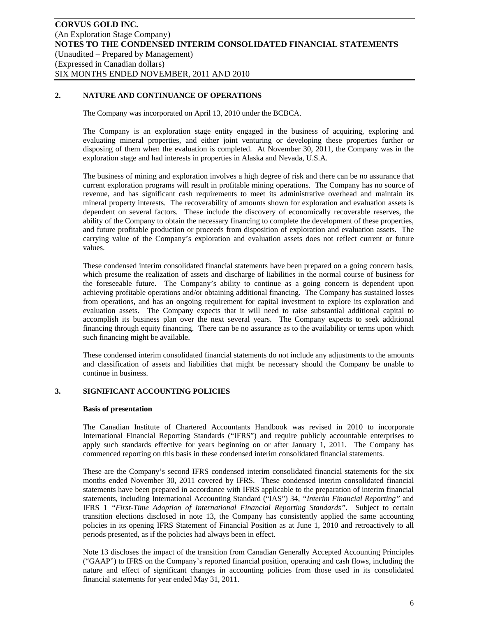# **2. NATURE AND CONTINUANCE OF OPERATIONS**

The Company was incorporated on April 13, 2010 under the BCBCA.

The Company is an exploration stage entity engaged in the business of acquiring, exploring and evaluating mineral properties, and either joint venturing or developing these properties further or disposing of them when the evaluation is completed. At November 30, 2011, the Company was in the exploration stage and had interests in properties in Alaska and Nevada, U.S.A.

The business of mining and exploration involves a high degree of risk and there can be no assurance that current exploration programs will result in profitable mining operations. The Company has no source of revenue, and has significant cash requirements to meet its administrative overhead and maintain its mineral property interests. The recoverability of amounts shown for exploration and evaluation assets is dependent on several factors. These include the discovery of economically recoverable reserves, the ability of the Company to obtain the necessary financing to complete the development of these properties, and future profitable production or proceeds from disposition of exploration and evaluation assets. The carrying value of the Company's exploration and evaluation assets does not reflect current or future values.

These condensed interim consolidated financial statements have been prepared on a going concern basis, which presume the realization of assets and discharge of liabilities in the normal course of business for the foreseeable future. The Company's ability to continue as a going concern is dependent upon achieving profitable operations and/or obtaining additional financing. The Company has sustained losses from operations, and has an ongoing requirement for capital investment to explore its exploration and evaluation assets. The Company expects that it will need to raise substantial additional capital to accomplish its business plan over the next several years. The Company expects to seek additional financing through equity financing. There can be no assurance as to the availability or terms upon which such financing might be available.

These condensed interim consolidated financial statements do not include any adjustments to the amounts and classification of assets and liabilities that might be necessary should the Company be unable to continue in business.

# **3. SIGNIFICANT ACCOUNTING POLICIES**

#### **Basis of presentation**

The Canadian Institute of Chartered Accountants Handbook was revised in 2010 to incorporate International Financial Reporting Standards ("IFRS") and require publicly accountable enterprises to apply such standards effective for years beginning on or after January 1, 2011. The Company has commenced reporting on this basis in these condensed interim consolidated financial statements.

These are the Company's second IFRS condensed interim consolidated financial statements for the six months ended November 30, 2011 covered by IFRS. These condensed interim consolidated financial statements have been prepared in accordance with IFRS applicable to the preparation of interim financial statements, including International Accounting Standard ("IAS") 34, *"Interim Financial Reporting"* and IFRS 1 *"First-Time Adoption of International Financial Reporting Standards"*. Subject to certain transition elections disclosed in note 13, the Company has consistently applied the same accounting policies in its opening IFRS Statement of Financial Position as at June 1, 2010 and retroactively to all periods presented, as if the policies had always been in effect.

Note 13 discloses the impact of the transition from Canadian Generally Accepted Accounting Principles ("GAAP") to IFRS on the Company's reported financial position, operating and cash flows, including the nature and effect of significant changes in accounting policies from those used in its consolidated financial statements for year ended May 31, 2011.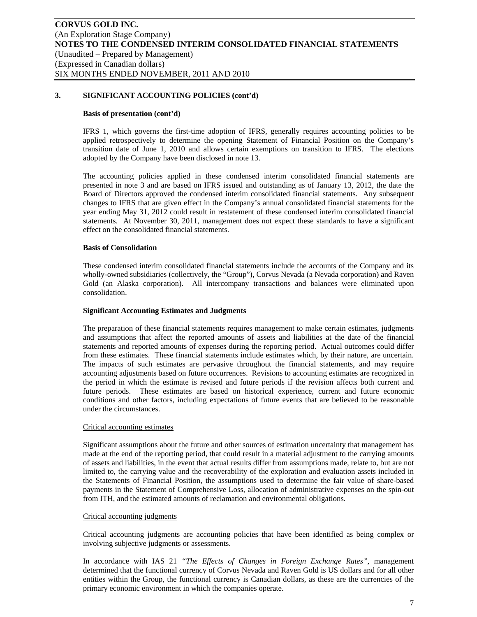#### **Basis of presentation (cont'd)**

IFRS 1, which governs the first-time adoption of IFRS, generally requires accounting policies to be applied retrospectively to determine the opening Statement of Financial Position on the Company's transition date of June 1, 2010 and allows certain exemptions on transition to IFRS. The elections adopted by the Company have been disclosed in note 13.

The accounting policies applied in these condensed interim consolidated financial statements are presented in note 3 and are based on IFRS issued and outstanding as of January 13, 2012, the date the Board of Directors approved the condensed interim consolidated financial statements. Any subsequent changes to IFRS that are given effect in the Company's annual consolidated financial statements for the year ending May 31, 2012 could result in restatement of these condensed interim consolidated financial statements. At November 30, 2011, management does not expect these standards to have a significant effect on the consolidated financial statements.

### **Basis of Consolidation**

These condensed interim consolidated financial statements include the accounts of the Company and its wholly-owned subsidiaries (collectively, the "Group"), Corvus Nevada (a Nevada corporation) and Raven Gold (an Alaska corporation). All intercompany transactions and balances were eliminated upon consolidation.

#### **Significant Accounting Estimates and Judgments**

The preparation of these financial statements requires management to make certain estimates, judgments and assumptions that affect the reported amounts of assets and liabilities at the date of the financial statements and reported amounts of expenses during the reporting period. Actual outcomes could differ from these estimates. These financial statements include estimates which, by their nature, are uncertain. The impacts of such estimates are pervasive throughout the financial statements, and may require accounting adjustments based on future occurrences. Revisions to accounting estimates are recognized in the period in which the estimate is revised and future periods if the revision affects both current and future periods. These estimates are based on historical experience, current and future economic conditions and other factors, including expectations of future events that are believed to be reasonable under the circumstances.

#### Critical accounting estimates

Significant assumptions about the future and other sources of estimation uncertainty that management has made at the end of the reporting period, that could result in a material adjustment to the carrying amounts of assets and liabilities, in the event that actual results differ from assumptions made, relate to, but are not limited to, the carrying value and the recoverability of the exploration and evaluation assets included in the Statements of Financial Position, the assumptions used to determine the fair value of share-based payments in the Statement of Comprehensive Loss, allocation of administrative expenses on the spin-out from ITH, and the estimated amounts of reclamation and environmental obligations.

#### Critical accounting judgments

Critical accounting judgments are accounting policies that have been identified as being complex or involving subjective judgments or assessments.

In accordance with IAS 21 *"The Effects of Changes in Foreign Exchange Rates"*, management determined that the functional currency of Corvus Nevada and Raven Gold is US dollars and for all other entities within the Group, the functional currency is Canadian dollars, as these are the currencies of the primary economic environment in which the companies operate.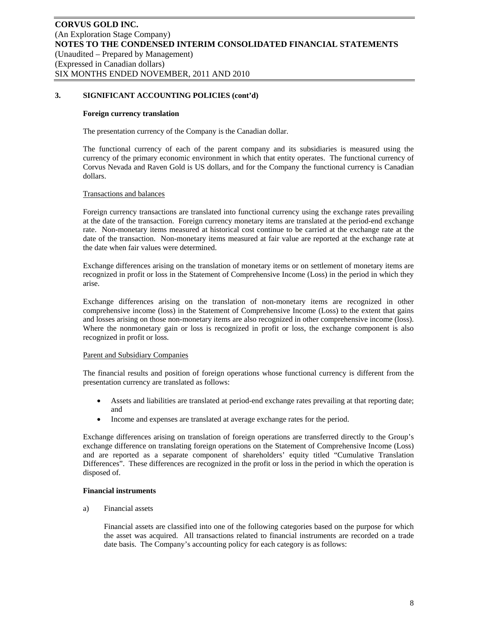#### **Foreign currency translation**

The presentation currency of the Company is the Canadian dollar.

The functional currency of each of the parent company and its subsidiaries is measured using the currency of the primary economic environment in which that entity operates. The functional currency of Corvus Nevada and Raven Gold is US dollars, and for the Company the functional currency is Canadian dollars.

### Transactions and balances

Foreign currency transactions are translated into functional currency using the exchange rates prevailing at the date of the transaction. Foreign currency monetary items are translated at the period-end exchange rate. Non-monetary items measured at historical cost continue to be carried at the exchange rate at the date of the transaction. Non-monetary items measured at fair value are reported at the exchange rate at the date when fair values were determined.

Exchange differences arising on the translation of monetary items or on settlement of monetary items are recognized in profit or loss in the Statement of Comprehensive Income (Loss) in the period in which they arise.

Exchange differences arising on the translation of non-monetary items are recognized in other comprehensive income (loss) in the Statement of Comprehensive Income (Loss) to the extent that gains and losses arising on those non-monetary items are also recognized in other comprehensive income (loss). Where the nonmonetary gain or loss is recognized in profit or loss, the exchange component is also recognized in profit or loss.

# Parent and Subsidiary Companies

The financial results and position of foreign operations whose functional currency is different from the presentation currency are translated as follows:

- Assets and liabilities are translated at period-end exchange rates prevailing at that reporting date; and
- Income and expenses are translated at average exchange rates for the period.

Exchange differences arising on translation of foreign operations are transferred directly to the Group's exchange difference on translating foreign operations on the Statement of Comprehensive Income (Loss) and are reported as a separate component of shareholders' equity titled "Cumulative Translation Differences". These differences are recognized in the profit or loss in the period in which the operation is disposed of.

#### **Financial instruments**

a) Financial assets

Financial assets are classified into one of the following categories based on the purpose for which the asset was acquired. All transactions related to financial instruments are recorded on a trade date basis. The Company's accounting policy for each category is as follows: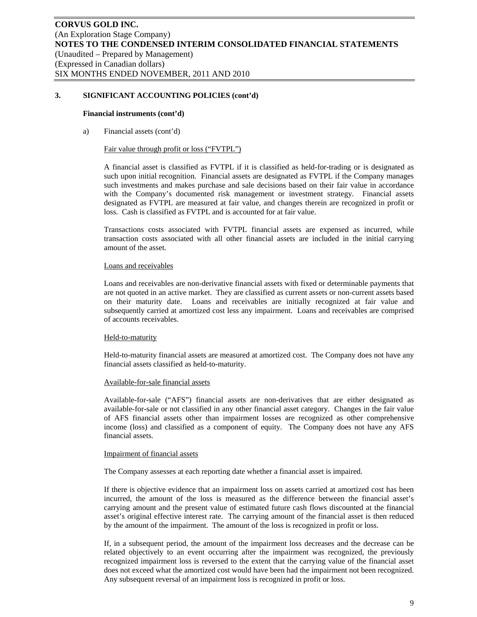#### **Financial instruments (cont'd)**

a) Financial assets (cont'd)

#### Fair value through profit or loss ("FVTPL")

A financial asset is classified as FVTPL if it is classified as held-for-trading or is designated as such upon initial recognition. Financial assets are designated as FVTPL if the Company manages such investments and makes purchase and sale decisions based on their fair value in accordance with the Company's documented risk management or investment strategy. Financial assets designated as FVTPL are measured at fair value, and changes therein are recognized in profit or loss. Cash is classified as FVTPL and is accounted for at fair value.

Transactions costs associated with FVTPL financial assets are expensed as incurred, while transaction costs associated with all other financial assets are included in the initial carrying amount of the asset.

### Loans and receivables

Loans and receivables are non-derivative financial assets with fixed or determinable payments that are not quoted in an active market. They are classified as current assets or non-current assets based on their maturity date. Loans and receivables are initially recognized at fair value and subsequently carried at amortized cost less any impairment. Loans and receivables are comprised of accounts receivables.

#### Held-to-maturity

Held-to-maturity financial assets are measured at amortized cost. The Company does not have any financial assets classified as held-to-maturity.

#### Available-for-sale financial assets

Available-for-sale ("AFS") financial assets are non-derivatives that are either designated as available-for-sale or not classified in any other financial asset category. Changes in the fair value of AFS financial assets other than impairment losses are recognized as other comprehensive income (loss) and classified as a component of equity. The Company does not have any AFS financial assets.

#### Impairment of financial assets

The Company assesses at each reporting date whether a financial asset is impaired.

If there is objective evidence that an impairment loss on assets carried at amortized cost has been incurred, the amount of the loss is measured as the difference between the financial asset's carrying amount and the present value of estimated future cash flows discounted at the financial asset's original effective interest rate. The carrying amount of the financial asset is then reduced by the amount of the impairment. The amount of the loss is recognized in profit or loss.

If, in a subsequent period, the amount of the impairment loss decreases and the decrease can be related objectively to an event occurring after the impairment was recognized, the previously recognized impairment loss is reversed to the extent that the carrying value of the financial asset does not exceed what the amortized cost would have been had the impairment not been recognized. Any subsequent reversal of an impairment loss is recognized in profit or loss.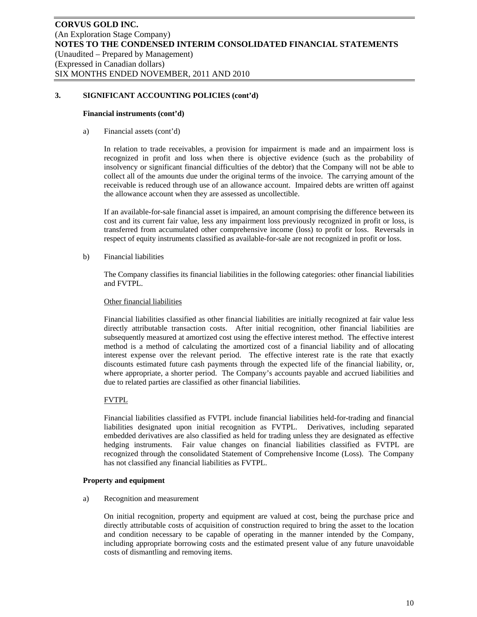#### **Financial instruments (cont'd)**

a) Financial assets (cont'd)

In relation to trade receivables, a provision for impairment is made and an impairment loss is recognized in profit and loss when there is objective evidence (such as the probability of insolvency or significant financial difficulties of the debtor) that the Company will not be able to collect all of the amounts due under the original terms of the invoice. The carrying amount of the receivable is reduced through use of an allowance account. Impaired debts are written off against the allowance account when they are assessed as uncollectible.

If an available-for-sale financial asset is impaired, an amount comprising the difference between its cost and its current fair value, less any impairment loss previously recognized in profit or loss, is transferred from accumulated other comprehensive income (loss) to profit or loss. Reversals in respect of equity instruments classified as available-for-sale are not recognized in profit or loss.

b) Financial liabilities

The Company classifies its financial liabilities in the following categories: other financial liabilities and FVTPL.

### Other financial liabilities

Financial liabilities classified as other financial liabilities are initially recognized at fair value less directly attributable transaction costs. After initial recognition, other financial liabilities are subsequently measured at amortized cost using the effective interest method. The effective interest method is a method of calculating the amortized cost of a financial liability and of allocating interest expense over the relevant period. The effective interest rate is the rate that exactly discounts estimated future cash payments through the expected life of the financial liability, or, where appropriate, a shorter period. The Company's accounts payable and accrued liabilities and due to related parties are classified as other financial liabilities.

# FVTPL

Financial liabilities classified as FVTPL include financial liabilities held-for-trading and financial liabilities designated upon initial recognition as FVTPL. Derivatives, including separated embedded derivatives are also classified as held for trading unless they are designated as effective hedging instruments. Fair value changes on financial liabilities classified as FVTPL are recognized through the consolidated Statement of Comprehensive Income (Loss). The Company has not classified any financial liabilities as FVTPL.

#### **Property and equipment**

a) Recognition and measurement

On initial recognition, property and equipment are valued at cost, being the purchase price and directly attributable costs of acquisition of construction required to bring the asset to the location and condition necessary to be capable of operating in the manner intended by the Company, including appropriate borrowing costs and the estimated present value of any future unavoidable costs of dismantling and removing items.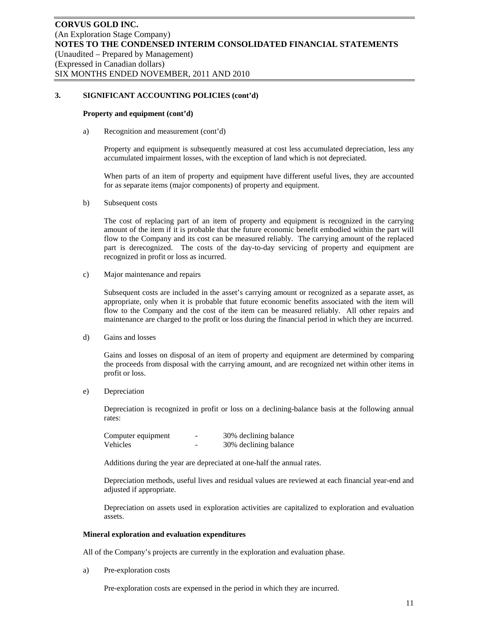#### **Property and equipment (cont'd)**

a) Recognition and measurement (cont'd)

Property and equipment is subsequently measured at cost less accumulated depreciation, less any accumulated impairment losses, with the exception of land which is not depreciated.

When parts of an item of property and equipment have different useful lives, they are accounted for as separate items (major components) of property and equipment.

b) Subsequent costs

The cost of replacing part of an item of property and equipment is recognized in the carrying amount of the item if it is probable that the future economic benefit embodied within the part will flow to the Company and its cost can be measured reliably. The carrying amount of the replaced part is derecognized. The costs of the day-to-day servicing of property and equipment are recognized in profit or loss as incurred.

c) Major maintenance and repairs

Subsequent costs are included in the asset's carrying amount or recognized as a separate asset, as appropriate, only when it is probable that future economic benefits associated with the item will flow to the Company and the cost of the item can be measured reliably. All other repairs and maintenance are charged to the profit or loss during the financial period in which they are incurred.

d) Gains and losses

Gains and losses on disposal of an item of property and equipment are determined by comparing the proceeds from disposal with the carrying amount, and are recognized net within other items in profit or loss.

e) Depreciation

Depreciation is recognized in profit or loss on a declining-balance basis at the following annual rates:

| Computer equipment | - | 30% declining balance |
|--------------------|---|-----------------------|
| Vehicles           | - | 30% declining balance |

Additions during the year are depreciated at one-half the annual rates.

Depreciation methods, useful lives and residual values are reviewed at each financial year-end and adjusted if appropriate.

Depreciation on assets used in exploration activities are capitalized to exploration and evaluation assets.

#### **Mineral exploration and evaluation expenditures**

All of the Company's projects are currently in the exploration and evaluation phase.

a) Pre-exploration costs

Pre-exploration costs are expensed in the period in which they are incurred.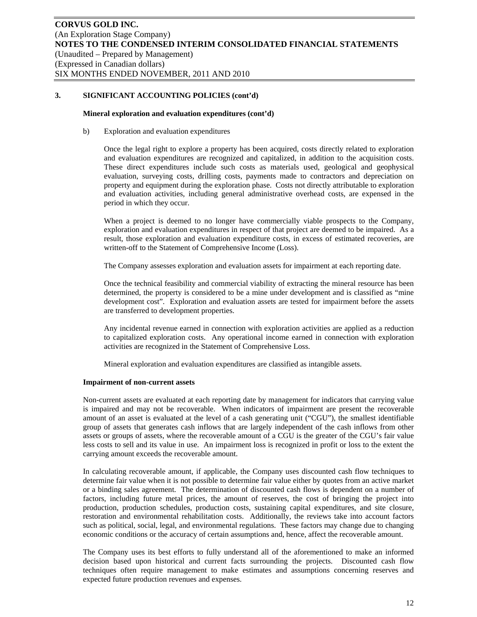#### **Mineral exploration and evaluation expenditures (cont'd)**

b) Exploration and evaluation expenditures

Once the legal right to explore a property has been acquired, costs directly related to exploration and evaluation expenditures are recognized and capitalized, in addition to the acquisition costs. These direct expenditures include such costs as materials used, geological and geophysical evaluation, surveying costs, drilling costs, payments made to contractors and depreciation on property and equipment during the exploration phase. Costs not directly attributable to exploration and evaluation activities, including general administrative overhead costs, are expensed in the period in which they occur.

When a project is deemed to no longer have commercially viable prospects to the Company, exploration and evaluation expenditures in respect of that project are deemed to be impaired. As a result, those exploration and evaluation expenditure costs, in excess of estimated recoveries, are written-off to the Statement of Comprehensive Income (Loss).

The Company assesses exploration and evaluation assets for impairment at each reporting date.

Once the technical feasibility and commercial viability of extracting the mineral resource has been determined, the property is considered to be a mine under development and is classified as "mine development cost". Exploration and evaluation assets are tested for impairment before the assets are transferred to development properties.

Any incidental revenue earned in connection with exploration activities are applied as a reduction to capitalized exploration costs. Any operational income earned in connection with exploration activities are recognized in the Statement of Comprehensive Loss.

Mineral exploration and evaluation expenditures are classified as intangible assets.

#### **Impairment of non-current assets**

Non-current assets are evaluated at each reporting date by management for indicators that carrying value is impaired and may not be recoverable. When indicators of impairment are present the recoverable amount of an asset is evaluated at the level of a cash generating unit ("CGU"), the smallest identifiable group of assets that generates cash inflows that are largely independent of the cash inflows from other assets or groups of assets, where the recoverable amount of a CGU is the greater of the CGU's fair value less costs to sell and its value in use. An impairment loss is recognized in profit or loss to the extent the carrying amount exceeds the recoverable amount.

In calculating recoverable amount, if applicable, the Company uses discounted cash flow techniques to determine fair value when it is not possible to determine fair value either by quotes from an active market or a binding sales agreement. The determination of discounted cash flows is dependent on a number of factors, including future metal prices, the amount of reserves, the cost of bringing the project into production, production schedules, production costs, sustaining capital expenditures, and site closure, restoration and environmental rehabilitation costs. Additionally, the reviews take into account factors such as political, social, legal, and environmental regulations. These factors may change due to changing economic conditions or the accuracy of certain assumptions and, hence, affect the recoverable amount.

The Company uses its best efforts to fully understand all of the aforementioned to make an informed decision based upon historical and current facts surrounding the projects. Discounted cash flow techniques often require management to make estimates and assumptions concerning reserves and expected future production revenues and expenses.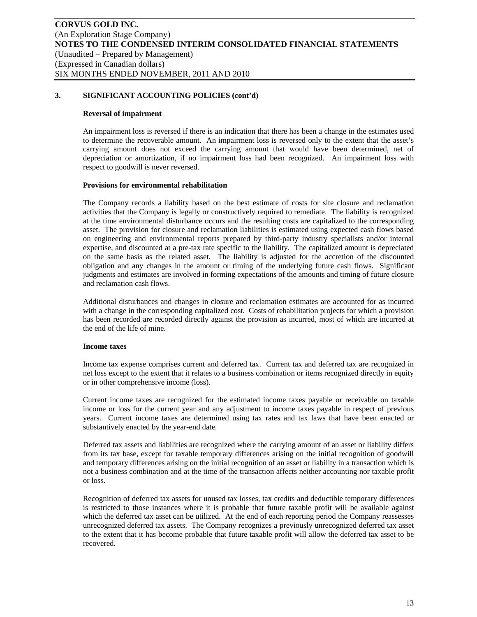#### **Reversal of impairment**

An impairment loss is reversed if there is an indication that there has been a change in the estimates used to determine the recoverable amount. An impairment loss is reversed only to the extent that the asset's carrying amount does not exceed the carrying amount that would have been determined, net of depreciation or amortization, if no impairment loss had been recognized. An impairment loss with respect to goodwill is never reversed.

#### **Provisions for environmental rehabilitation**

The Company records a liability based on the best estimate of costs for site closure and reclamation activities that the Company is legally or constructively required to remediate. The liability is recognized at the time environmental disturbance occurs and the resulting costs are capitalized to the corresponding asset. The provision for closure and reclamation liabilities is estimated using expected cash flows based on engineering and environmental reports prepared by third-party industry specialists and/or internal expertise, and discounted at a pre-tax rate specific to the liability. The capitalized amount is depreciated on the same basis as the related asset. The liability is adjusted for the accretion of the discounted obligation and any changes in the amount or timing of the underlying future cash flows. Significant judgments and estimates are involved in forming expectations of the amounts and timing of future closure and reclamation cash flows.

Additional disturbances and changes in closure and reclamation estimates are accounted for as incurred with a change in the corresponding capitalized cost. Costs of rehabilitation projects for which a provision has been recorded are recorded directly against the provision as incurred, most of which are incurred at the end of the life of mine.

# **Income taxes**

Income tax expense comprises current and deferred tax. Current tax and deferred tax are recognized in net loss except to the extent that it relates to a business combination or items recognized directly in equity or in other comprehensive income (loss).

Current income taxes are recognized for the estimated income taxes payable or receivable on taxable income or loss for the current year and any adjustment to income taxes payable in respect of previous years. Current income taxes are determined using tax rates and tax laws that have been enacted or substantively enacted by the year-end date.

Deferred tax assets and liabilities are recognized where the carrying amount of an asset or liability differs from its tax base, except for taxable temporary differences arising on the initial recognition of goodwill and temporary differences arising on the initial recognition of an asset or liability in a transaction which is not a business combination and at the time of the transaction affects neither accounting nor taxable profit or loss.

Recognition of deferred tax assets for unused tax losses, tax credits and deductible temporary differences is restricted to those instances where it is probable that future taxable profit will be available against which the deferred tax asset can be utilized. At the end of each reporting period the Company reassesses unrecognized deferred tax assets. The Company recognizes a previously unrecognized deferred tax asset to the extent that it has become probable that future taxable profit will allow the deferred tax asset to be recovered.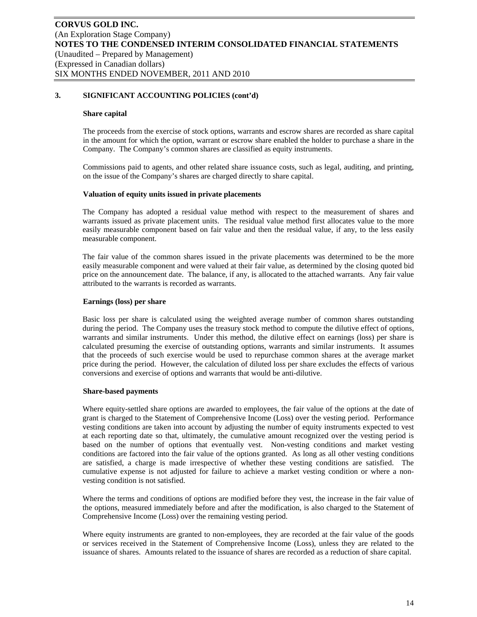#### **Share capital**

The proceeds from the exercise of stock options, warrants and escrow shares are recorded as share capital in the amount for which the option, warrant or escrow share enabled the holder to purchase a share in the Company. The Company's common shares are classified as equity instruments.

Commissions paid to agents, and other related share issuance costs, such as legal, auditing, and printing, on the issue of the Company's shares are charged directly to share capital.

#### **Valuation of equity units issued in private placements**

The Company has adopted a residual value method with respect to the measurement of shares and warrants issued as private placement units. The residual value method first allocates value to the more easily measurable component based on fair value and then the residual value, if any, to the less easily measurable component.

The fair value of the common shares issued in the private placements was determined to be the more easily measurable component and were valued at their fair value, as determined by the closing quoted bid price on the announcement date. The balance, if any, is allocated to the attached warrants. Any fair value attributed to the warrants is recorded as warrants.

#### **Earnings (loss) per share**

Basic loss per share is calculated using the weighted average number of common shares outstanding during the period. The Company uses the treasury stock method to compute the dilutive effect of options, warrants and similar instruments. Under this method, the dilutive effect on earnings (loss) per share is calculated presuming the exercise of outstanding options, warrants and similar instruments. It assumes that the proceeds of such exercise would be used to repurchase common shares at the average market price during the period. However, the calculation of diluted loss per share excludes the effects of various conversions and exercise of options and warrants that would be anti-dilutive.

#### **Share-based payments**

Where equity-settled share options are awarded to employees, the fair value of the options at the date of grant is charged to the Statement of Comprehensive Income (Loss) over the vesting period. Performance vesting conditions are taken into account by adjusting the number of equity instruments expected to vest at each reporting date so that, ultimately, the cumulative amount recognized over the vesting period is based on the number of options that eventually vest. Non-vesting conditions and market vesting conditions are factored into the fair value of the options granted. As long as all other vesting conditions are satisfied, a charge is made irrespective of whether these vesting conditions are satisfied. The cumulative expense is not adjusted for failure to achieve a market vesting condition or where a nonvesting condition is not satisfied.

Where the terms and conditions of options are modified before they vest, the increase in the fair value of the options, measured immediately before and after the modification, is also charged to the Statement of Comprehensive Income (Loss) over the remaining vesting period.

Where equity instruments are granted to non-employees, they are recorded at the fair value of the goods or services received in the Statement of Comprehensive Income (Loss), unless they are related to the issuance of shares. Amounts related to the issuance of shares are recorded as a reduction of share capital.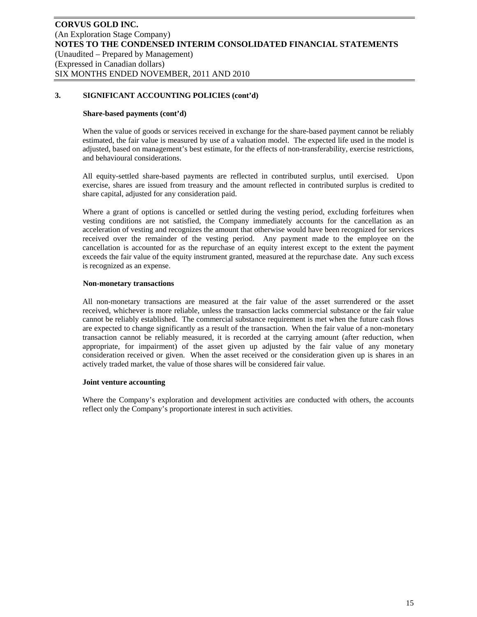#### **Share-based payments (cont'd)**

When the value of goods or services received in exchange for the share-based payment cannot be reliably estimated, the fair value is measured by use of a valuation model. The expected life used in the model is adjusted, based on management's best estimate, for the effects of non-transferability, exercise restrictions, and behavioural considerations.

All equity-settled share-based payments are reflected in contributed surplus, until exercised. Upon exercise, shares are issued from treasury and the amount reflected in contributed surplus is credited to share capital, adjusted for any consideration paid.

Where a grant of options is cancelled or settled during the vesting period, excluding forfeitures when vesting conditions are not satisfied, the Company immediately accounts for the cancellation as an acceleration of vesting and recognizes the amount that otherwise would have been recognized for services received over the remainder of the vesting period. Any payment made to the employee on the cancellation is accounted for as the repurchase of an equity interest except to the extent the payment exceeds the fair value of the equity instrument granted, measured at the repurchase date. Any such excess is recognized as an expense.

#### **Non-monetary transactions**

All non-monetary transactions are measured at the fair value of the asset surrendered or the asset received, whichever is more reliable, unless the transaction lacks commercial substance or the fair value cannot be reliably established. The commercial substance requirement is met when the future cash flows are expected to change significantly as a result of the transaction. When the fair value of a non-monetary transaction cannot be reliably measured, it is recorded at the carrying amount (after reduction, when appropriate, for impairment) of the asset given up adjusted by the fair value of any monetary consideration received or given. When the asset received or the consideration given up is shares in an actively traded market, the value of those shares will be considered fair value.

#### **Joint venture accounting**

Where the Company's exploration and development activities are conducted with others, the accounts reflect only the Company's proportionate interest in such activities.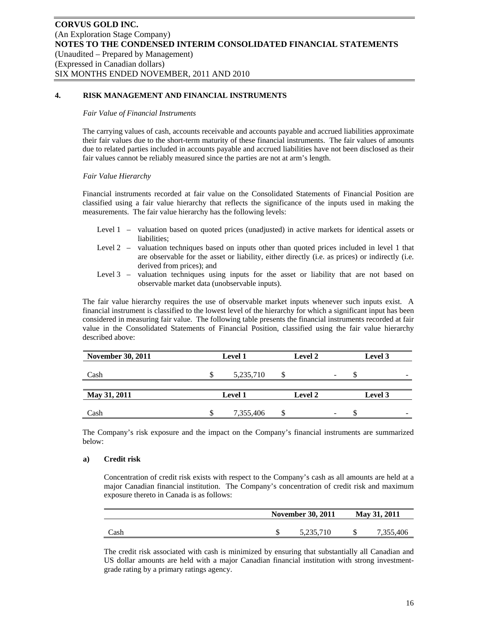# **4. RISK MANAGEMENT AND FINANCIAL INSTRUMENTS**

#### *Fair Value of Financial Instruments*

The carrying values of cash, accounts receivable and accounts payable and accrued liabilities approximate their fair values due to the short-term maturity of these financial instruments. The fair values of amounts due to related parties included in accounts payable and accrued liabilities have not been disclosed as their fair values cannot be reliably measured since the parties are not at arm's length.

### *Fair Value Hierarchy*

Financial instruments recorded at fair value on the Consolidated Statements of Financial Position are classified using a fair value hierarchy that reflects the significance of the inputs used in making the measurements. The fair value hierarchy has the following levels:

- Level 1 valuation based on quoted prices (unadjusted) in active markets for identical assets or liabilities;
- Level 2 valuation techniques based on inputs other than quoted prices included in level 1 that are observable for the asset or liability, either directly (i.e. as prices) or indirectly (i.e. derived from prices); and
- Level 3 valuation techniques using inputs for the asset or liability that are not based on observable market data (unobservable inputs).

The fair value hierarchy requires the use of observable market inputs whenever such inputs exist. A financial instrument is classified to the lowest level of the hierarchy for which a significant input has been considered in measuring fair value. The following table presents the financial instruments recorded at fair value in the Consolidated Statements of Financial Position, classified using the fair value hierarchy described above:

| <b>November 30, 2011</b> |                | <b>Level 1</b> | <b>Level 2</b> |                          | Level 3                  |
|--------------------------|----------------|----------------|----------------|--------------------------|--------------------------|
| Cash                     |                | 5,235,710      |                | $\overline{\phantom{a}}$ | $\overline{\phantom{a}}$ |
| May 31, 2011             | <b>Level 1</b> |                | Level 2        |                          | Level 3                  |
| Cash                     |                | 7,355,406      |                |                          | $\overline{\phantom{a}}$ |

The Company's risk exposure and the impact on the Company's financial instruments are summarized below:

#### **a) Credit risk**

Concentration of credit risk exists with respect to the Company's cash as all amounts are held at a major Canadian financial institution. The Company's concentration of credit risk and maximum exposure thereto in Canada is as follows:

|      | <b>November 30, 2011</b> | May 31, 2011 |           |  |
|------|--------------------------|--------------|-----------|--|
| Cash | 5,235,710                |              | 7,355,406 |  |

The credit risk associated with cash is minimized by ensuring that substantially all Canadian and US dollar amounts are held with a major Canadian financial institution with strong investmentgrade rating by a primary ratings agency.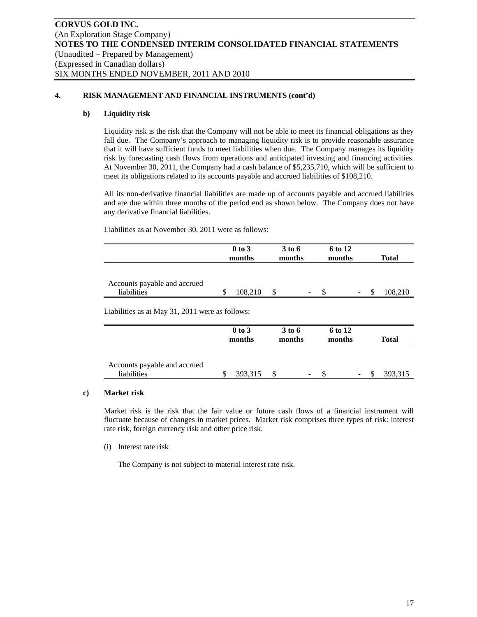# **4. RISK MANAGEMENT AND FINANCIAL INSTRUMENTS (cont'd)**

# **b) Liquidity risk**

Liquidity risk is the risk that the Company will not be able to meet its financial obligations as they fall due. The Company's approach to managing liquidity risk is to provide reasonable assurance that it will have sufficient funds to meet liabilities when due. The Company manages its liquidity risk by forecasting cash flows from operations and anticipated investing and financing activities. At November 30, 2011, the Company had a cash balance of \$5,235,710, which will be sufficient to meet its obligations related to its accounts payable and accrued liabilities of \$108,210.

All its non-derivative financial liabilities are made up of accounts payable and accrued liabilities and are due within three months of the period end as shown below. The Company does not have any derivative financial liabilities.

Liabilities as at November 30, 2011 were as follows:

|                              | $0$ to $3$ | 3 to 6 |   | 6 to 12 |   |              |
|------------------------------|------------|--------|---|---------|---|--------------|
|                              | months     | months |   | months  |   | <b>Total</b> |
|                              |            |        |   |         |   |              |
|                              |            |        |   |         |   |              |
| Accounts payable and accrued |            |        |   |         |   |              |
| liabilities                  | 108.210    |        | ۰ |         | - | 108,210      |

Liabilities as at May 31, 2011 were as follows:

|                                             | $0$ to $3$<br>months |         | 3 to 6<br>months |   |  |   | 6 to 12<br>months |         |  |  | <b>Total</b> |  |
|---------------------------------------------|----------------------|---------|------------------|---|--|---|-------------------|---------|--|--|--------------|--|
| Accounts payable and accrued<br>liabilities |                      | 393,315 |                  | - |  | - |                   | 393,315 |  |  |              |  |

#### **c) Market risk**

Market risk is the risk that the fair value or future cash flows of a financial instrument will fluctuate because of changes in market prices. Market risk comprises three types of risk: interest rate risk, foreign currency risk and other price risk.

(i) Interest rate risk

The Company is not subject to material interest rate risk.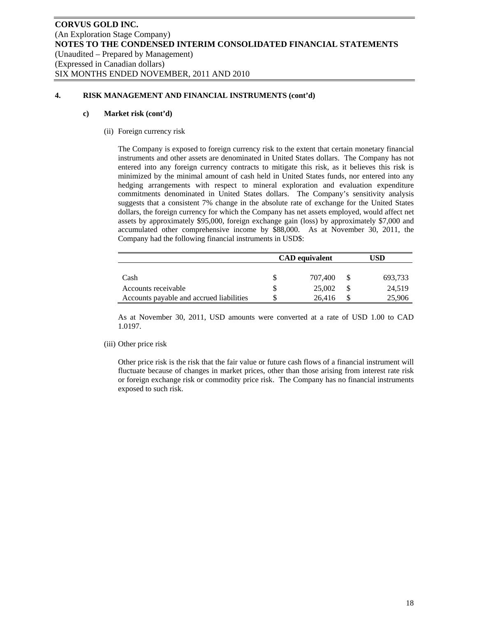# **4. RISK MANAGEMENT AND FINANCIAL INSTRUMENTS (cont'd)**

#### **c) Market risk (cont'd)**

(ii) Foreign currency risk

The Company is exposed to foreign currency risk to the extent that certain monetary financial instruments and other assets are denominated in United States dollars. The Company has not entered into any foreign currency contracts to mitigate this risk, as it believes this risk is minimized by the minimal amount of cash held in United States funds, nor entered into any hedging arrangements with respect to mineral exploration and evaluation expenditure commitments denominated in United States dollars. The Company's sensitivity analysis suggests that a consistent 7% change in the absolute rate of exchange for the United States dollars, the foreign currency for which the Company has net assets employed, would affect net assets by approximately \$95,000, foreign exchange gain (loss) by approximately \$7,000 and accumulated other comprehensive income by \$88,000. As at November 30, 2011, the Company had the following financial instruments in USD\$:

|                                          | <b>CAD</b> equivalent | JSD     |
|------------------------------------------|-----------------------|---------|
|                                          |                       |         |
| Cash                                     | 707,400               | 693,733 |
| Accounts receivable                      | 25,002                | 24,519  |
| Accounts payable and accrued liabilities | 26.416                | 25,906  |

As at November 30, 2011, USD amounts were converted at a rate of USD 1.00 to CAD 1.0197.

(iii) Other price risk

Other price risk is the risk that the fair value or future cash flows of a financial instrument will fluctuate because of changes in market prices, other than those arising from interest rate risk or foreign exchange risk or commodity price risk. The Company has no financial instruments exposed to such risk.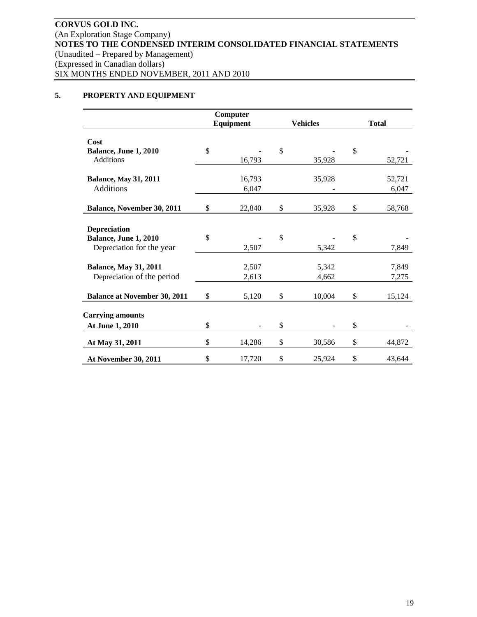# **5. PROPERTY AND EQUIPMENT**

|                                     | Computer     |               |                 |              |
|-------------------------------------|--------------|---------------|-----------------|--------------|
|                                     | Equipment    |               | <b>Vehicles</b> | <b>Total</b> |
|                                     |              |               |                 |              |
| Cost                                |              |               |                 |              |
| Balance, June 1, 2010               | \$           | $\mathcal{S}$ |                 | \$           |
| Additions                           | 16,793       |               | 35,928          | 52,721       |
| <b>Balance, May 31, 2011</b>        | 16,793       |               | 35,928          | 52,721       |
| <b>Additions</b>                    | 6,047        |               |                 | 6,047        |
|                                     |              |               |                 |              |
| <b>Balance, November 30, 2011</b>   | \$<br>22,840 | \$            | 35,928          | \$<br>58,768 |
|                                     |              |               |                 |              |
| <b>Depreciation</b>                 |              |               |                 |              |
| Balance, June 1, 2010               | \$           | $\mathcal{S}$ |                 | \$           |
| Depreciation for the year           | 2,507        |               | 5,342           | 7,849        |
|                                     |              |               |                 |              |
| <b>Balance, May 31, 2011</b>        | 2,507        |               | 5,342           | 7,849        |
| Depreciation of the period          | 2,613        |               | 4,662           | 7,275        |
|                                     |              |               |                 |              |
| <b>Balance at November 30, 2011</b> | \$<br>5,120  | \$            | 10,004          | \$<br>15,124 |
|                                     |              |               |                 |              |
| <b>Carrying amounts</b>             |              |               |                 |              |
| At June 1, 2010                     | \$           | \$            |                 | \$           |
| At May 31, 2011                     | \$<br>14,286 | \$            | 30,586          | \$<br>44,872 |
| At November 30, 2011                | \$<br>17,720 | \$            | 25,924          | \$<br>43,644 |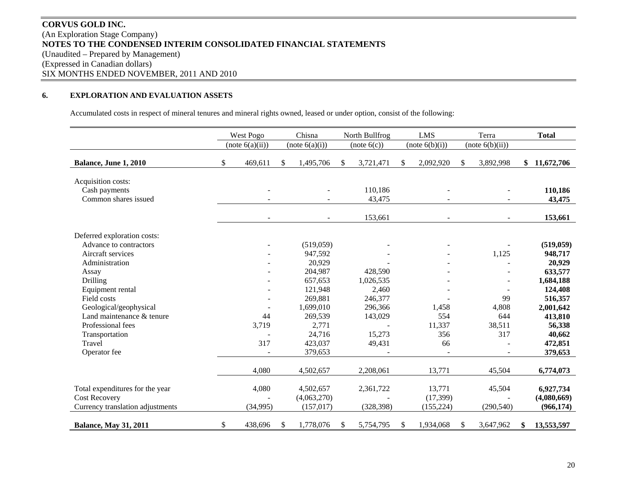# **CORVUS GOLD INC.** (An Exploration Stage Company) **NOTES TO THE CONDENSED INTERIM CONSOLIDATED FINANCIAL STATEMENTS**  (Unaudited – Prepared by Management) (Expressed in Canadian dollars) SIX MONTHS ENDED NOVEMBER, 2011 AND 2010

#### **6.EXPLORATION AND EVALUATION ASSETS**

Accumulated costs in respect of mineral tenures and mineral rights owned, leased or under option, consist of the following:

|                                                                                             |              | West Pogo         |    | Chisna                                 | North Bullfrog          | <b>LMS</b>                        |                 | Terra                | <b>Total</b>                           |
|---------------------------------------------------------------------------------------------|--------------|-------------------|----|----------------------------------------|-------------------------|-----------------------------------|-----------------|----------------------|----------------------------------------|
|                                                                                             |              | (note 6(a)(ii))   |    | (note 6(a)(i))                         | (note 6(c))             | (note 6(b)(i))                    | (note 6(b)(ii)) |                      |                                        |
| Balance, June 1, 2010                                                                       | \$           | 469,611           | \$ | 1,495,706                              | \$<br>3,721,471         | \$<br>2,092,920                   | \$              | 3,892,998            | \$<br>11,672,706                       |
| Acquisition costs:<br>Cash payments<br>Common shares issued                                 |              |                   |    |                                        | 110,186<br>43,475       |                                   |                 |                      | 110,186<br>43,475                      |
|                                                                                             |              | $\blacksquare$    |    | $\overline{\phantom{a}}$               | 153,661                 | $\blacksquare$                    |                 | $\sim$               | 153,661                                |
| Deferred exploration costs:                                                                 |              |                   |    |                                        |                         |                                   |                 |                      |                                        |
| Advance to contractors                                                                      |              |                   |    | (519,059)                              |                         |                                   |                 |                      | (519, 059)                             |
| Aircraft services                                                                           |              |                   |    | 947,592                                |                         |                                   |                 | 1,125                | 948,717                                |
| Administration                                                                              |              |                   |    | 20,929                                 |                         |                                   |                 |                      | 20,929                                 |
| Assay                                                                                       |              |                   |    | 204,987                                | 428,590                 |                                   |                 |                      | 633,577                                |
| Drilling                                                                                    |              |                   |    | 657,653                                | 1,026,535               |                                   |                 |                      | 1,684,188                              |
| Equipment rental                                                                            |              |                   |    | 121,948                                | 2,460                   |                                   |                 |                      | 124,408                                |
| Field costs                                                                                 |              |                   |    | 269,881                                | 246,377                 |                                   |                 | 99                   | 516,357                                |
| Geological/geophysical                                                                      |              |                   |    | 1,699,010                              | 296,366                 | 1,458                             |                 | 4,808                | 2,001,642                              |
| Land maintenance & tenure                                                                   |              | 44                |    | 269,539                                | 143,029                 | 554                               |                 | 644                  | 413,810                                |
| Professional fees                                                                           |              | 3,719             |    | 2,771                                  |                         | 11,337                            |                 | 38,511               | 56,338                                 |
| Transportation                                                                              |              |                   |    | 24,716                                 | 15,273                  | 356                               |                 | 317                  | 40,662                                 |
| Travel                                                                                      |              | 317               |    | 423,037                                | 49,431                  | 66                                |                 |                      | 472,851                                |
| Operator fee                                                                                |              |                   |    | 379,653                                |                         |                                   |                 |                      | 379,653                                |
|                                                                                             |              | 4,080             |    | 4,502,657                              | 2,208,061               | 13,771                            |                 | 45,504               | 6,774,073                              |
| Total expenditures for the year<br><b>Cost Recovery</b><br>Currency translation adjustments |              | 4,080<br>(34,995) |    | 4,502,657<br>(4,063,270)<br>(157, 017) | 2,361,722<br>(328, 398) | 13,771<br>(17, 399)<br>(155, 224) |                 | 45,504<br>(290, 540) | 6,927,734<br>(4,080,669)<br>(966, 174) |
|                                                                                             |              |                   |    |                                        |                         |                                   |                 |                      |                                        |
| <b>Balance, May 31, 2011</b>                                                                | $\mathbb{S}$ | 438,696           | S  | 1,778,076                              | \$<br>5,754,795         | \$<br>1,934,068                   | S.              | 3,647,962            | \$<br>13,553,597                       |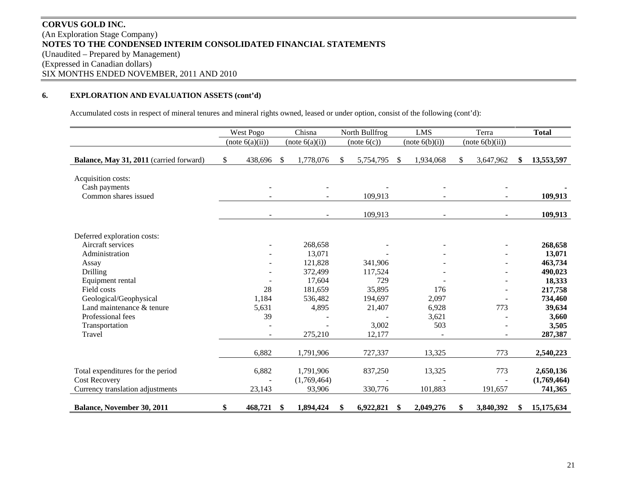# **CORVUS GOLD INC.** (An Exploration Stage Company) **NOTES TO THE CONDENSED INTERIM CONSOLIDATED FINANCIAL STATEMENTS**  (Unaudited – Prepared by Management) (Expressed in Canadian dollars) SIX MONTHS ENDED NOVEMBER, 2011 AND 2010

# **6. EXPLORATION AND EVALUATION ASSETS (cont'd)**

Accumulated costs in respect of mineral tenures and mineral rights owned, leased or under option, consist of the following (cont'd):

|                                                             | West Pogo       | Chisna                   | North Bullfrog  | <b>LMS</b>      | Terra                    | <b>Total</b>     |
|-------------------------------------------------------------|-----------------|--------------------------|-----------------|-----------------|--------------------------|------------------|
|                                                             | (note 6(a)(ii)) | (note 6(a)(i))           | (note 6(c))     | (note 6(b)(i))  | (note 6(b)(ii))          |                  |
| Balance, May 31, 2011 (carried forward)                     | \$<br>438,696   | \$<br>1,778,076          | \$<br>5,754,795 | \$<br>1,934,068 | \$<br>3,647,962          | \$<br>13,553,597 |
| Acquisition costs:<br>Cash payments<br>Common shares issued |                 | $\overline{\phantom{a}}$ | 109,913         |                 | $\blacksquare$           | 109,913          |
|                                                             |                 |                          | 109,913         |                 |                          | 109,913          |
| Deferred exploration costs:                                 |                 |                          |                 |                 |                          |                  |
| Aircraft services                                           |                 | 268,658                  |                 |                 |                          | 268,658          |
| Administration                                              |                 | 13,071                   |                 |                 |                          | 13,071           |
| Assay                                                       |                 | 121,828                  | 341,906         |                 |                          | 463,734          |
| Drilling                                                    |                 | 372,499                  | 117,524         |                 |                          | 490,023          |
| Equipment rental                                            |                 | 17,604                   | 729             |                 |                          | 18,333           |
| Field costs                                                 | 28              | 181,659                  | 35,895          | 176             |                          | 217,758          |
| Geological/Geophysical                                      | 1,184           | 536,482                  | 194,697         | 2,097           |                          | 734,460          |
| Land maintenance & tenure                                   | 5,631           | 4,895                    | 21,407          | 6,928           | 773                      | 39,634           |
| Professional fees                                           | 39              |                          |                 | 3,621           |                          | 3,660            |
| Transportation                                              |                 |                          | 3,002           | 503             |                          | 3,505            |
| Travel                                                      |                 | 275,210                  | 12,177          |                 | $\overline{\phantom{a}}$ | 287,387          |
|                                                             | 6,882           | 1,791,906                | 727,337         | 13,325          | 773                      | 2,540,223        |
| Total expenditures for the period                           | 6,882           | 1,791,906                | 837,250         | 13,325          | 773                      | 2,650,136        |
| <b>Cost Recovery</b>                                        |                 | (1,769,464)              | 330,776         |                 |                          | (1,769,464)      |
| Currency translation adjustments                            | 23,143          | 93,906                   |                 | 101,883         | 191,657                  | 741,365          |
| <b>Balance, November 30, 2011</b>                           | 468,721<br>\$   | \$<br>1,894,424          | \$<br>6,922,821 | \$<br>2,049,276 | \$<br>3,840,392          | \$<br>15,175,634 |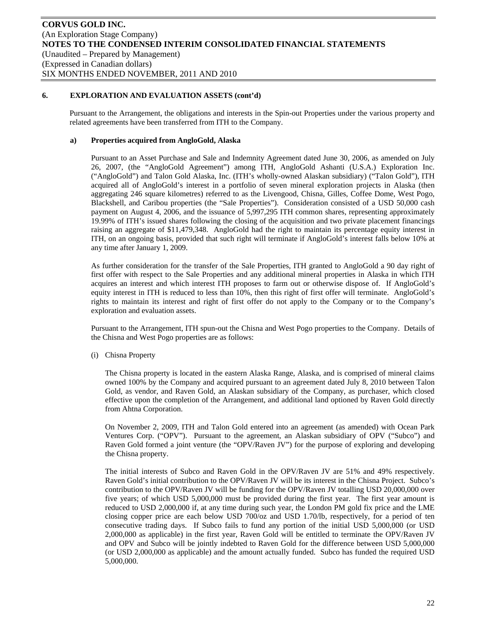Pursuant to the Arrangement, the obligations and interests in the Spin-out Properties under the various property and related agreements have been transferred from ITH to the Company.

## **a) Properties acquired from AngloGold, Alaska**

Pursuant to an Asset Purchase and Sale and Indemnity Agreement dated June 30, 2006, as amended on July 26, 2007, (the "AngloGold Agreement") among ITH, AngloGold Ashanti (U.S.A.) Exploration Inc. ("AngloGold") and Talon Gold Alaska, Inc. (ITH's wholly-owned Alaskan subsidiary) ("Talon Gold"), ITH acquired all of AngloGold's interest in a portfolio of seven mineral exploration projects in Alaska (then aggregating 246 square kilometres) referred to as the Livengood, Chisna, Gilles, Coffee Dome, West Pogo, Blackshell, and Caribou properties (the "Sale Properties"). Consideration consisted of a USD 50,000 cash payment on August 4, 2006, and the issuance of 5,997,295 ITH common shares, representing approximately 19.99% of ITH's issued shares following the closing of the acquisition and two private placement financings raising an aggregate of \$11,479,348. AngloGold had the right to maintain its percentage equity interest in ITH, on an ongoing basis, provided that such right will terminate if AngloGold's interest falls below 10% at any time after January 1, 2009.

As further consideration for the transfer of the Sale Properties, ITH granted to AngloGold a 90 day right of first offer with respect to the Sale Properties and any additional mineral properties in Alaska in which ITH acquires an interest and which interest ITH proposes to farm out or otherwise dispose of. If AngloGold's equity interest in ITH is reduced to less than 10%, then this right of first offer will terminate. AngloGold's rights to maintain its interest and right of first offer do not apply to the Company or to the Company's exploration and evaluation assets.

Pursuant to the Arrangement, ITH spun-out the Chisna and West Pogo properties to the Company. Details of the Chisna and West Pogo properties are as follows:

(i) Chisna Property

The Chisna property is located in the eastern Alaska Range, Alaska, and is comprised of mineral claims owned 100% by the Company and acquired pursuant to an agreement dated July 8, 2010 between Talon Gold, as vendor, and Raven Gold, an Alaskan subsidiary of the Company, as purchaser, which closed effective upon the completion of the Arrangement, and additional land optioned by Raven Gold directly from Ahtna Corporation.

On November 2, 2009, ITH and Talon Gold entered into an agreement (as amended) with Ocean Park Ventures Corp. ("OPV"). Pursuant to the agreement, an Alaskan subsidiary of OPV ("Subco") and Raven Gold formed a joint venture (the "OPV/Raven JV") for the purpose of exploring and developing the Chisna property.

The initial interests of Subco and Raven Gold in the OPV/Raven JV are 51% and 49% respectively. Raven Gold's initial contribution to the OPV/Raven JV will be its interest in the Chisna Project. Subco's contribution to the OPV/Raven JV will be funding for the OPV/Raven JV totalling USD 20,000,000 over five years; of which USD 5,000,000 must be provided during the first year. The first year amount is reduced to USD 2,000,000 if, at any time during such year, the London PM gold fix price and the LME closing copper price are each below USD 700/oz and USD 1.70/lb, respectively, for a period of ten consecutive trading days. If Subco fails to fund any portion of the initial USD 5,000,000 (or USD 2,000,000 as applicable) in the first year, Raven Gold will be entitled to terminate the OPV/Raven JV and OPV and Subco will be jointly indebted to Raven Gold for the difference between USD 5,000,000 (or USD 2,000,000 as applicable) and the amount actually funded. Subco has funded the required USD 5,000,000.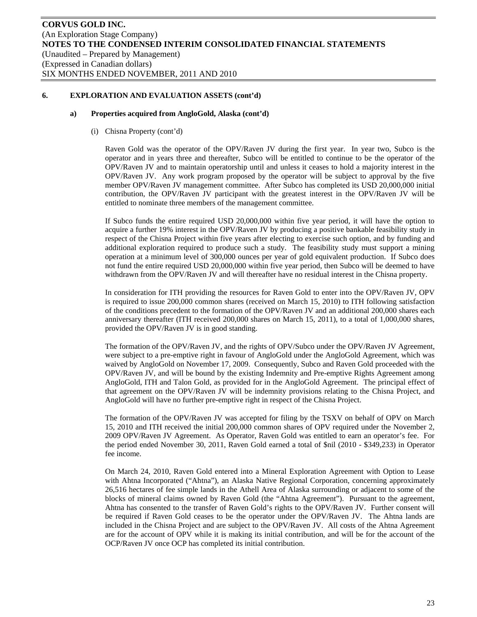#### **a) Properties acquired from AngloGold, Alaska (cont'd)**

(i) Chisna Property (cont'd)

Raven Gold was the operator of the OPV/Raven JV during the first year. In year two, Subco is the operator and in years three and thereafter, Subco will be entitled to continue to be the operator of the OPV/Raven JV and to maintain operatorship until and unless it ceases to hold a majority interest in the OPV/Raven JV. Any work program proposed by the operator will be subject to approval by the five member OPV/Raven JV management committee. After Subco has completed its USD 20,000,000 initial contribution, the OPV/Raven JV participant with the greatest interest in the OPV/Raven JV will be entitled to nominate three members of the management committee.

If Subco funds the entire required USD 20,000,000 within five year period, it will have the option to acquire a further 19% interest in the OPV/Raven JV by producing a positive bankable feasibility study in respect of the Chisna Project within five years after electing to exercise such option, and by funding and additional exploration required to produce such a study. The feasibility study must support a mining operation at a minimum level of 300,000 ounces per year of gold equivalent production. If Subco does not fund the entire required USD 20,000,000 within five year period, then Subco will be deemed to have withdrawn from the OPV/Raven JV and will thereafter have no residual interest in the Chisna property.

In consideration for ITH providing the resources for Raven Gold to enter into the OPV/Raven JV, OPV is required to issue 200,000 common shares (received on March 15, 2010) to ITH following satisfaction of the conditions precedent to the formation of the OPV/Raven JV and an additional 200,000 shares each anniversary thereafter (ITH received 200,000 shares on March 15, 2011), to a total of 1,000,000 shares, provided the OPV/Raven JV is in good standing.

The formation of the OPV/Raven JV, and the rights of OPV/Subco under the OPV/Raven JV Agreement, were subject to a pre-emptive right in favour of AngloGold under the AngloGold Agreement, which was waived by AngloGold on November 17, 2009. Consequently, Subco and Raven Gold proceeded with the OPV/Raven JV, and will be bound by the existing Indemnity and Pre-emptive Rights Agreement among AngloGold, ITH and Talon Gold, as provided for in the AngloGold Agreement. The principal effect of that agreement on the OPV/Raven JV will be indemnity provisions relating to the Chisna Project, and AngloGold will have no further pre-emptive right in respect of the Chisna Project.

The formation of the OPV/Raven JV was accepted for filing by the TSXV on behalf of OPV on March 15, 2010 and ITH received the initial 200,000 common shares of OPV required under the November 2, 2009 OPV/Raven JV Agreement. As Operator, Raven Gold was entitled to earn an operator's fee. For the period ended November 30, 2011, Raven Gold earned a total of \$nil (2010 - \$349,233) in Operator fee income.

On March 24, 2010, Raven Gold entered into a Mineral Exploration Agreement with Option to Lease with Ahtna Incorporated ("Ahtna"), an Alaska Native Regional Corporation, concerning approximately 26,516 hectares of fee simple lands in the Athell Area of Alaska surrounding or adjacent to some of the blocks of mineral claims owned by Raven Gold (the "Ahtna Agreement"). Pursuant to the agreement, Ahtna has consented to the transfer of Raven Gold's rights to the OPV/Raven JV. Further consent will be required if Raven Gold ceases to be the operator under the OPV/Raven JV. The Ahtna lands are included in the Chisna Project and are subject to the OPV/Raven JV. All costs of the Ahtna Agreement are for the account of OPV while it is making its initial contribution, and will be for the account of the OCP/Raven JV once OCP has completed its initial contribution.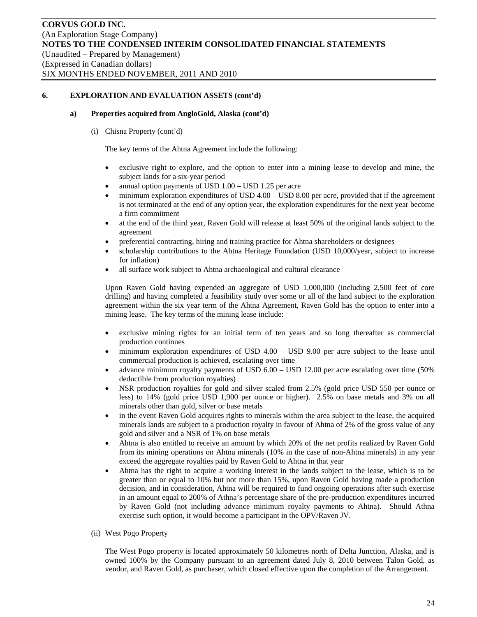#### **a) Properties acquired from AngloGold, Alaska (cont'd)**

(i) Chisna Property (cont'd)

The key terms of the Ahtna Agreement include the following:

- exclusive right to explore, and the option to enter into a mining lease to develop and mine, the subject lands for a six-year period
- annual option payments of USD 1.00 USD 1.25 per acre
- minimum exploration expenditures of USD 4.00 USD 8.00 per acre, provided that if the agreement is not terminated at the end of any option year, the exploration expenditures for the next year become a firm commitment
- at the end of the third year, Raven Gold will release at least 50% of the original lands subject to the agreement
- preferential contracting, hiring and training practice for Ahtna shareholders or designees
- scholarship contributions to the Ahtna Heritage Foundation (USD 10,000/year, subject to increase for inflation)
- all surface work subject to Ahtna archaeological and cultural clearance

Upon Raven Gold having expended an aggregate of USD 1,000,000 (including 2,500 feet of core drilling) and having completed a feasibility study over some or all of the land subject to the exploration agreement within the six year term of the Ahtna Agreement, Raven Gold has the option to enter into a mining lease. The key terms of the mining lease include:

- exclusive mining rights for an initial term of ten years and so long thereafter as commercial production continues
- minimum exploration expenditures of USD 4.00 USD 9.00 per acre subject to the lease until commercial production is achieved, escalating over time
- advance minimum royalty payments of USD 6.00 USD 12.00 per acre escalating over time (50% deductible from production royalties)
- NSR production royalties for gold and silver scaled from 2.5% (gold price USD 550 per ounce or less) to 14% (gold price USD 1,900 per ounce or higher). 2.5% on base metals and 3% on all minerals other than gold, silver or base metals
- in the event Raven Gold acquires rights to minerals within the area subject to the lease, the acquired minerals lands are subject to a production royalty in favour of Ahtna of 2% of the gross value of any gold and silver and a NSR of 1% on base metals
- Ahtna is also entitled to receive an amount by which 20% of the net profits realized by Raven Gold from its mining operations on Ahtna minerals (10% in the case of non-Ahtna minerals) in any year exceed the aggregate royalties paid by Raven Gold to Ahtna in that year
- Ahtna has the right to acquire a working interest in the lands subject to the lease, which is to be greater than or equal to 10% but not more than 15%, upon Raven Gold having made a production decision, and in consideration, Ahtna will be required to fund ongoing operations after such exercise in an amount equal to 200% of Athna's percentage share of the pre-production expenditures incurred by Raven Gold (not including advance minimum royalty payments to Ahtna). Should Athna exercise such option, it would become a participant in the OPV/Raven JV.
- (ii) West Pogo Property

The West Pogo property is located approximately 50 kilometres north of Delta Junction, Alaska, and is owned 100% by the Company pursuant to an agreement dated July 8, 2010 between Talon Gold, as vendor, and Raven Gold, as purchaser, which closed effective upon the completion of the Arrangement.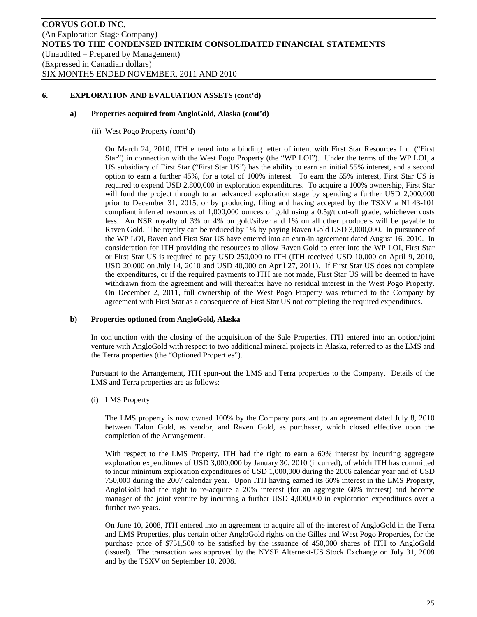#### **a) Properties acquired from AngloGold, Alaska (cont'd)**

(ii) West Pogo Property (cont'd)

On March 24, 2010, ITH entered into a binding letter of intent with First Star Resources Inc. ("First Star") in connection with the West Pogo Property (the "WP LOI"). Under the terms of the WP LOI, a US subsidiary of First Star ("First Star US") has the ability to earn an initial 55% interest, and a second option to earn a further 45%, for a total of 100% interest. To earn the 55% interest, First Star US is required to expend USD 2,800,000 in exploration expenditures. To acquire a 100% ownership, First Star will fund the project through to an advanced exploration stage by spending a further USD 2,000,000 prior to December 31, 2015, or by producing, filing and having accepted by the TSXV a NI 43-101 compliant inferred resources of 1,000,000 ounces of gold using a 0.5g/t cut-off grade, whichever costs less. An NSR royalty of 3% or 4% on gold/silver and 1% on all other producers will be payable to Raven Gold. The royalty can be reduced by 1% by paying Raven Gold USD 3,000,000. In pursuance of the WP LOI, Raven and First Star US have entered into an earn-in agreement dated August 16, 2010. In consideration for ITH providing the resources to allow Raven Gold to enter into the WP LOI, First Star or First Star US is required to pay USD 250,000 to ITH (ITH received USD 10,000 on April 9, 2010, USD 20,000 on July 14, 2010 and USD 40,000 on April 27, 2011). If First Star US does not complete the expenditures, or if the required payments to ITH are not made, First Star US will be deemed to have withdrawn from the agreement and will thereafter have no residual interest in the West Pogo Property. On December 2, 2011, full ownership of the West Pogo Property was returned to the Company by agreement with First Star as a consequence of First Star US not completing the required expenditures.

# **b) Properties optioned from AngloGold, Alaska**

In conjunction with the closing of the acquisition of the Sale Properties, ITH entered into an option/joint venture with AngloGold with respect to two additional mineral projects in Alaska, referred to as the LMS and the Terra properties (the "Optioned Properties").

Pursuant to the Arrangement, ITH spun-out the LMS and Terra properties to the Company. Details of the LMS and Terra properties are as follows:

(i) LMS Property

The LMS property is now owned 100% by the Company pursuant to an agreement dated July 8, 2010 between Talon Gold, as vendor, and Raven Gold, as purchaser, which closed effective upon the completion of the Arrangement.

With respect to the LMS Property, ITH had the right to earn a 60% interest by incurring aggregate exploration expenditures of USD 3,000,000 by January 30, 2010 (incurred), of which ITH has committed to incur minimum exploration expenditures of USD 1,000,000 during the 2006 calendar year and of USD 750,000 during the 2007 calendar year. Upon ITH having earned its 60% interest in the LMS Property, AngloGold had the right to re-acquire a 20% interest (for an aggregate 60% interest) and become manager of the joint venture by incurring a further USD 4,000,000 in exploration expenditures over a further two years.

On June 10, 2008, ITH entered into an agreement to acquire all of the interest of AngloGold in the Terra and LMS Properties, plus certain other AngloGold rights on the Gilles and West Pogo Properties, for the purchase price of \$751,500 to be satisfied by the issuance of 450,000 shares of ITH to AngloGold (issued). The transaction was approved by the NYSE Alternext-US Stock Exchange on July 31, 2008 and by the TSXV on September 10, 2008.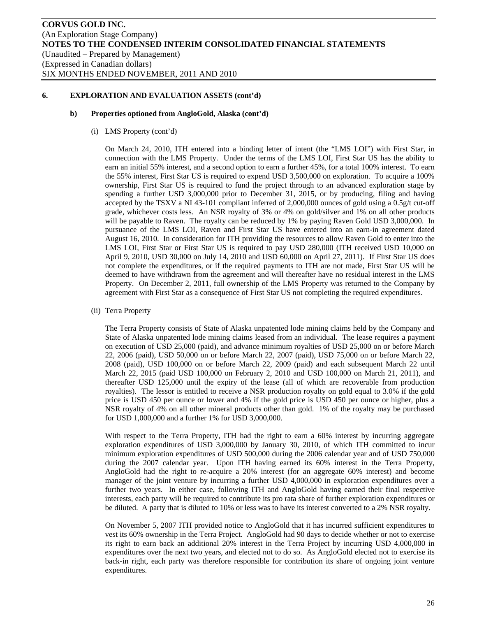#### **b) Properties optioned from AngloGold, Alaska (cont'd)**

(i) LMS Property (cont'd)

On March 24, 2010, ITH entered into a binding letter of intent (the "LMS LOI") with First Star, in connection with the LMS Property. Under the terms of the LMS LOI, First Star US has the ability to earn an initial 55% interest, and a second option to earn a further 45%, for a total 100% interest. To earn the 55% interest, First Star US is required to expend USD 3,500,000 on exploration. To acquire a 100% ownership, First Star US is required to fund the project through to an advanced exploration stage by spending a further USD 3,000,000 prior to December 31, 2015, or by producing, filing and having accepted by the TSXV a NI 43-101 compliant inferred of 2,000,000 ounces of gold using a 0.5g/t cut-off grade, whichever costs less. An NSR royalty of 3% or 4% on gold/silver and 1% on all other products will be payable to Raven. The royalty can be reduced by 1% by paying Raven Gold USD 3,000,000. In pursuance of the LMS LOI, Raven and First Star US have entered into an earn-in agreement dated August 16, 2010. In consideration for ITH providing the resources to allow Raven Gold to enter into the LMS LOI, First Star or First Star US is required to pay USD 280,000 (ITH received USD 10,000 on April 9, 2010, USD 30,000 on July 14, 2010 and USD 60,000 on April 27, 2011). If First Star US does not complete the expenditures, or if the required payments to ITH are not made, First Star US will be deemed to have withdrawn from the agreement and will thereafter have no residual interest in the LMS Property. On December 2, 2011, full ownership of the LMS Property was returned to the Company by agreement with First Star as a consequence of First Star US not completing the required expenditures.

(ii) Terra Property

The Terra Property consists of State of Alaska unpatented lode mining claims held by the Company and State of Alaska unpatented lode mining claims leased from an individual. The lease requires a payment on execution of USD 25,000 (paid), and advance minimum royalties of USD 25,000 on or before March 22, 2006 (paid), USD 50,000 on or before March 22, 2007 (paid), USD 75,000 on or before March 22, 2008 (paid), USD 100,000 on or before March 22, 2009 (paid) and each subsequent March 22 until March 22, 2015 (paid USD 100,000 on February 2, 2010 and USD 100,000 on March 21, 2011), and thereafter USD 125,000 until the expiry of the lease (all of which are recoverable from production royalties). The lessor is entitled to receive a NSR production royalty on gold equal to 3.0% if the gold price is USD 450 per ounce or lower and 4% if the gold price is USD 450 per ounce or higher, plus a NSR royalty of 4% on all other mineral products other than gold. 1% of the royalty may be purchased for USD 1,000,000 and a further 1% for USD 3,000,000.

With respect to the Terra Property, ITH had the right to earn a 60% interest by incurring aggregate exploration expenditures of USD 3,000,000 by January 30, 2010, of which ITH committed to incur minimum exploration expenditures of USD 500,000 during the 2006 calendar year and of USD 750,000 during the 2007 calendar year. Upon ITH having earned its 60% interest in the Terra Property, AngloGold had the right to re-acquire a 20% interest (for an aggregate 60% interest) and become manager of the joint venture by incurring a further USD 4,000,000 in exploration expenditures over a further two years. In either case, following ITH and AngloGold having earned their final respective interests, each party will be required to contribute its pro rata share of further exploration expenditures or be diluted. A party that is diluted to 10% or less was to have its interest converted to a 2% NSR royalty.

On November 5, 2007 ITH provided notice to AngloGold that it has incurred sufficient expenditures to vest its 60% ownership in the Terra Project. AngloGold had 90 days to decide whether or not to exercise its right to earn back an additional 20% interest in the Terra Project by incurring USD 4,000,000 in expenditures over the next two years, and elected not to do so. As AngloGold elected not to exercise its back-in right, each party was therefore responsible for contribution its share of ongoing joint venture expenditures.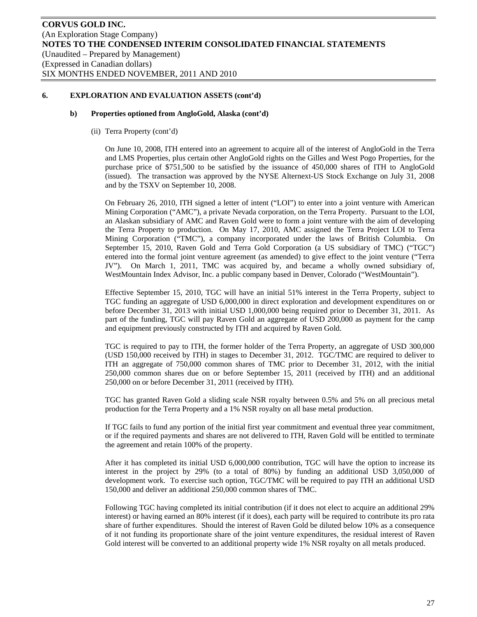#### **b) Properties optioned from AngloGold, Alaska (cont'd)**

(ii) Terra Property (cont'd)

On June 10, 2008, ITH entered into an agreement to acquire all of the interest of AngloGold in the Terra and LMS Properties, plus certain other AngloGold rights on the Gilles and West Pogo Properties, for the purchase price of \$751,500 to be satisfied by the issuance of 450,000 shares of ITH to AngloGold (issued). The transaction was approved by the NYSE Alternext-US Stock Exchange on July 31, 2008 and by the TSXV on September 10, 2008.

On February 26, 2010, ITH signed a letter of intent ("LOI") to enter into a joint venture with American Mining Corporation ("AMC"), a private Nevada corporation, on the Terra Property. Pursuant to the LOI, an Alaskan subsidiary of AMC and Raven Gold were to form a joint venture with the aim of developing the Terra Property to production. On May 17, 2010, AMC assigned the Terra Project LOI to Terra Mining Corporation ("TMC"), a company incorporated under the laws of British Columbia. On September 15, 2010, Raven Gold and Terra Gold Corporation (a US subsidiary of TMC) ("TGC") entered into the formal joint venture agreement (as amended) to give effect to the joint venture ("Terra JV"). On March 1, 2011, TMC was acquired by, and became a wholly owned subsidiary of, WestMountain Index Advisor, Inc. a public company based in Denver, Colorado ("WestMountain").

Effective September 15, 2010, TGC will have an initial 51% interest in the Terra Property, subject to TGC funding an aggregate of USD 6,000,000 in direct exploration and development expenditures on or before December 31, 2013 with initial USD 1,000,000 being required prior to December 31, 2011. As part of the funding, TGC will pay Raven Gold an aggregate of USD 200,000 as payment for the camp and equipment previously constructed by ITH and acquired by Raven Gold.

TGC is required to pay to ITH, the former holder of the Terra Property, an aggregate of USD 300,000 (USD 150,000 received by ITH) in stages to December 31, 2012. TGC/TMC are required to deliver to ITH an aggregate of 750,000 common shares of TMC prior to December 31, 2012, with the initial 250,000 common shares due on or before September 15, 2011 (received by ITH) and an additional 250,000 on or before December 31, 2011 (received by ITH).

TGC has granted Raven Gold a sliding scale NSR royalty between 0.5% and 5% on all precious metal production for the Terra Property and a 1% NSR royalty on all base metal production.

If TGC fails to fund any portion of the initial first year commitment and eventual three year commitment, or if the required payments and shares are not delivered to ITH, Raven Gold will be entitled to terminate the agreement and retain 100% of the property.

After it has completed its initial USD 6,000,000 contribution, TGC will have the option to increase its interest in the project by 29% (to a total of 80%) by funding an additional USD 3,050,000 of development work. To exercise such option, TGC/TMC will be required to pay ITH an additional USD 150,000 and deliver an additional 250,000 common shares of TMC.

Following TGC having completed its initial contribution (if it does not elect to acquire an additional 29% interest) or having earned an 80% interest (if it does), each party will be required to contribute its pro rata share of further expenditures. Should the interest of Raven Gold be diluted below 10% as a consequence of it not funding its proportionate share of the joint venture expenditures, the residual interest of Raven Gold interest will be converted to an additional property wide 1% NSR royalty on all metals produced.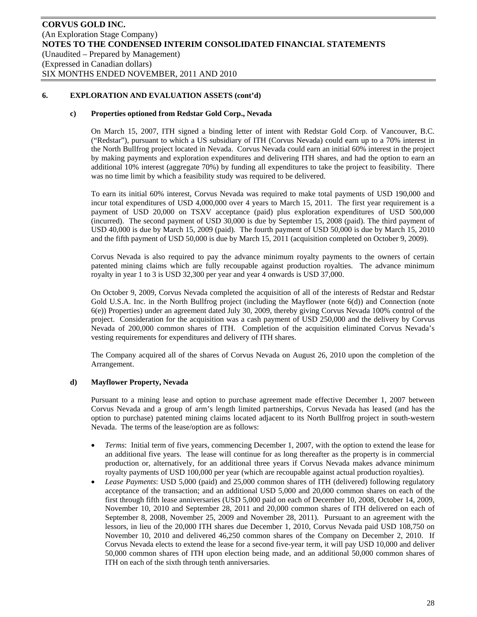# **c) Properties optioned from Redstar Gold Corp., Nevada**

On March 15, 2007, ITH signed a binding letter of intent with Redstar Gold Corp. of Vancouver, B.C. ("Redstar"), pursuant to which a US subsidiary of ITH (Corvus Nevada) could earn up to a 70% interest in the North Bullfrog project located in Nevada. Corvus Nevada could earn an initial 60% interest in the project by making payments and exploration expenditures and delivering ITH shares, and had the option to earn an additional 10% interest (aggregate 70%) by funding all expenditures to take the project to feasibility. There was no time limit by which a feasibility study was required to be delivered.

To earn its initial 60% interest, Corvus Nevada was required to make total payments of USD 190,000 and incur total expenditures of USD 4,000,000 over 4 years to March 15, 2011. The first year requirement is a payment of USD 20,000 on TSXV acceptance (paid) plus exploration expenditures of USD 500,000 (incurred). The second payment of USD 30,000 is due by September 15, 2008 (paid). The third payment of USD 40,000 is due by March 15, 2009 (paid). The fourth payment of USD 50,000 is due by March 15, 2010 and the fifth payment of USD 50,000 is due by March 15, 2011 (acquisition completed on October 9, 2009).

Corvus Nevada is also required to pay the advance minimum royalty payments to the owners of certain patented mining claims which are fully recoupable against production royalties. The advance minimum royalty in year 1 to 3 is USD 32,300 per year and year 4 onwards is USD 37,000.

On October 9, 2009, Corvus Nevada completed the acquisition of all of the interests of Redstar and Redstar Gold U.S.A. Inc. in the North Bullfrog project (including the Mayflower (note 6(d)) and Connection (note 6(e)) Properties) under an agreement dated July 30, 2009, thereby giving Corvus Nevada 100% control of the project. Consideration for the acquisition was a cash payment of USD 250,000 and the delivery by Corvus Nevada of 200,000 common shares of ITH. Completion of the acquisition eliminated Corvus Nevada's vesting requirements for expenditures and delivery of ITH shares.

The Company acquired all of the shares of Corvus Nevada on August 26, 2010 upon the completion of the Arrangement.

# **d) Mayflower Property, Nevada**

Pursuant to a mining lease and option to purchase agreement made effective December 1, 2007 between Corvus Nevada and a group of arm's length limited partnerships, Corvus Nevada has leased (and has the option to purchase) patented mining claims located adjacent to its North Bullfrog project in south-western Nevada. The terms of the lease/option are as follows:

- *Terms*: Initial term of five years, commencing December 1, 2007, with the option to extend the lease for an additional five years. The lease will continue for as long thereafter as the property is in commercial production or, alternatively, for an additional three years if Corvus Nevada makes advance minimum royalty payments of USD 100,000 per year (which are recoupable against actual production royalties).
- *Lease Payments*: USD 5,000 (paid) and 25,000 common shares of ITH (delivered) following regulatory acceptance of the transaction; and an additional USD 5,000 and 20,000 common shares on each of the first through fifth lease anniversaries (USD 5,000 paid on each of December 10, 2008, October 14, 2009, November 10, 2010 and September 28, 2011 and 20,000 common shares of ITH delivered on each of September 8, 2008, November 25, 2009 and November 28, 2011). Pursuant to an agreement with the lessors, in lieu of the 20,000 ITH shares due December 1, 2010, Corvus Nevada paid USD 108,750 on November 10, 2010 and delivered 46,250 common shares of the Company on December 2, 2010. If Corvus Nevada elects to extend the lease for a second five-year term, it will pay USD 10,000 and deliver 50,000 common shares of ITH upon election being made, and an additional 50,000 common shares of ITH on each of the sixth through tenth anniversaries.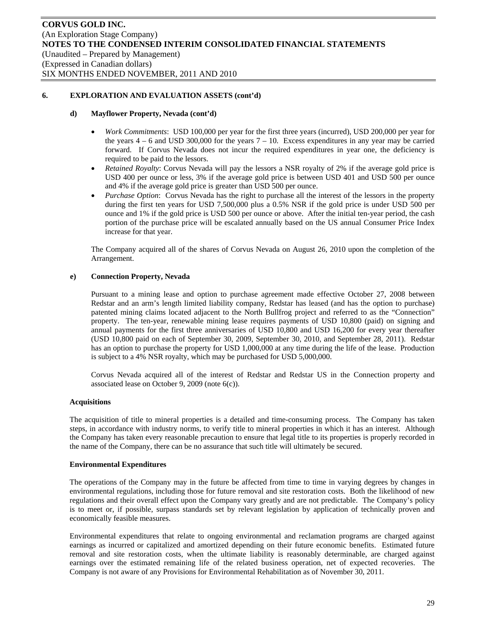#### **d) Mayflower Property, Nevada (cont'd)**

- *Work Commitments*: USD 100,000 per year for the first three years (incurred), USD 200,000 per year for the years  $4 - 6$  and USD 300,000 for the years  $7 - 10$ . Excess expenditures in any year may be carried forward. If Corvus Nevada does not incur the required expenditures in year one, the deficiency is required to be paid to the lessors.
- *Retained Royalty*: Corvus Nevada will pay the lessors a NSR royalty of 2% if the average gold price is USD 400 per ounce or less, 3% if the average gold price is between USD 401 and USD 500 per ounce and 4% if the average gold price is greater than USD 500 per ounce.
- *Purchase Option*: Corvus Nevada has the right to purchase all the interest of the lessors in the property during the first ten years for USD 7,500,000 plus a 0.5% NSR if the gold price is under USD 500 per ounce and 1% if the gold price is USD 500 per ounce or above. After the initial ten-year period, the cash portion of the purchase price will be escalated annually based on the US annual Consumer Price Index increase for that year.

The Company acquired all of the shares of Corvus Nevada on August 26, 2010 upon the completion of the Arrangement.

#### **e) Connection Property, Nevada**

Pursuant to a mining lease and option to purchase agreement made effective October 27, 2008 between Redstar and an arm's length limited liability company, Redstar has leased (and has the option to purchase) patented mining claims located adjacent to the North Bullfrog project and referred to as the "Connection" property. The ten-year, renewable mining lease requires payments of USD 10,800 (paid) on signing and annual payments for the first three anniversaries of USD 10,800 and USD 16,200 for every year thereafter (USD 10,800 paid on each of September 30, 2009, September 30, 2010, and September 28, 2011). Redstar has an option to purchase the property for USD 1,000,000 at any time during the life of the lease. Production is subject to a 4% NSR royalty, which may be purchased for USD 5,000,000.

Corvus Nevada acquired all of the interest of Redstar and Redstar US in the Connection property and associated lease on October 9, 2009 (note 6(c)).

#### **Acquisitions**

The acquisition of title to mineral properties is a detailed and time-consuming process. The Company has taken steps, in accordance with industry norms, to verify title to mineral properties in which it has an interest. Although the Company has taken every reasonable precaution to ensure that legal title to its properties is properly recorded in the name of the Company, there can be no assurance that such title will ultimately be secured.

#### **Environmental Expenditures**

The operations of the Company may in the future be affected from time to time in varying degrees by changes in environmental regulations, including those for future removal and site restoration costs. Both the likelihood of new regulations and their overall effect upon the Company vary greatly and are not predictable. The Company's policy is to meet or, if possible, surpass standards set by relevant legislation by application of technically proven and economically feasible measures.

Environmental expenditures that relate to ongoing environmental and reclamation programs are charged against earnings as incurred or capitalized and amortized depending on their future economic benefits. Estimated future removal and site restoration costs, when the ultimate liability is reasonably determinable, are charged against earnings over the estimated remaining life of the related business operation, net of expected recoveries. The Company is not aware of any Provisions for Environmental Rehabilitation as of November 30, 2011.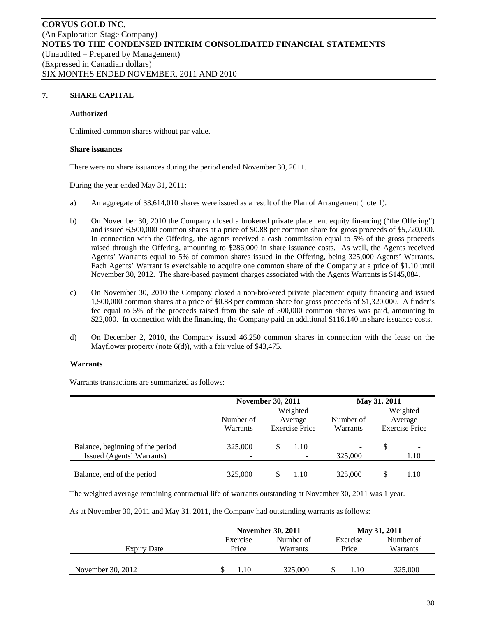# **7. SHARE CAPITAL**

#### **Authorized**

Unlimited common shares without par value.

#### **Share issuances**

There were no share issuances during the period ended November 30, 2011.

During the year ended May 31, 2011:

- a) An aggregate of 33,614,010 shares were issued as a result of the Plan of Arrangement (note 1).
- b) On November 30, 2010 the Company closed a brokered private placement equity financing ("the Offering") and issued 6,500,000 common shares at a price of \$0.88 per common share for gross proceeds of \$5,720,000. In connection with the Offering, the agents received a cash commission equal to 5% of the gross proceeds raised through the Offering, amounting to \$286,000 in share issuance costs. As well, the Agents received Agents' Warrants equal to 5% of common shares issued in the Offering, being 325,000 Agents' Warrants. Each Agents' Warrant is exercisable to acquire one common share of the Company at a price of \$1.10 until November 30, 2012. The share-based payment charges associated with the Agents Warrants is \$145,084.
- c) On November 30, 2010 the Company closed a non-brokered private placement equity financing and issued 1,500,000 common shares at a price of \$0.88 per common share for gross proceeds of \$1,320,000. A finder's fee equal to 5% of the proceeds raised from the sale of 500,000 common shares was paid, amounting to \$22,000. In connection with the financing, the Company paid an additional \$116,140 in share issuance costs.
- d) On December 2, 2010, the Company issued 46,250 common shares in connection with the lease on the Mayflower property (note 6(d)), with a fair value of \$43,475.

#### **Warrants**

Warrants transactions are summarized as follows:

|                                                               | <b>November 30, 2011</b> |                       |                                  | May 31, 2011 |   |                       |  |
|---------------------------------------------------------------|--------------------------|-----------------------|----------------------------------|--------------|---|-----------------------|--|
|                                                               | Weighted                 |                       |                                  |              |   | Weighted              |  |
|                                                               | Number of                | Average               |                                  | Number of    |   | Average               |  |
|                                                               | Warrants                 | <b>Exercise Price</b> |                                  | Warrants     |   | <b>Exercise Price</b> |  |
| Balance, beginning of the period<br>Issued (Agents' Warrants) | 325,000                  |                       | 1.10<br>$\overline{\phantom{a}}$ | 325,000      | S | 1.10                  |  |
| Balance, end of the period                                    | 325,000                  |                       | 1.10                             | 325,000      | S | 1.10                  |  |

The weighted average remaining contractual life of warrants outstanding at November 30, 2011 was 1 year.

As at November 30, 2011 and May 31, 2011, the Company had outstanding warrants as follows:

|                   |          | <b>November 30, 2011</b> |          | May 31, 2011 |
|-------------------|----------|--------------------------|----------|--------------|
|                   | Exercise | Number of                | Exercise | Number of    |
| Expiry Date       | Price    | Warrants                 | Price    | Warrants     |
|                   |          |                          |          |              |
| November 30, 2012 | .10      | 325,000                  | 1.10     | 325,000      |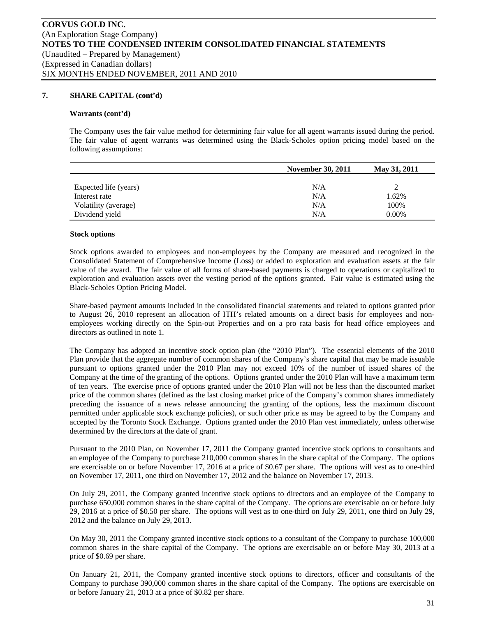# **7. SHARE CAPITAL (cont'd)**

#### **Warrants (cont'd)**

The Company uses the fair value method for determining fair value for all agent warrants issued during the period. The fair value of agent warrants was determined using the Black-Scholes option pricing model based on the following assumptions:

|                       | <b>November 30, 2011</b> | May 31, 2011 |
|-----------------------|--------------------------|--------------|
|                       |                          |              |
| Expected life (years) | N/A                      |              |
| Interest rate         | N/A                      | 1.62%        |
| Volatility (average)  | N/A                      | 100%         |
| Dividend yield        | N/A                      | 0.00%        |

#### **Stock options**

Stock options awarded to employees and non-employees by the Company are measured and recognized in the Consolidated Statement of Comprehensive Income (Loss) or added to exploration and evaluation assets at the fair value of the award. The fair value of all forms of share-based payments is charged to operations or capitalized to exploration and evaluation assets over the vesting period of the options granted. Fair value is estimated using the Black-Scholes Option Pricing Model.

Share-based payment amounts included in the consolidated financial statements and related to options granted prior to August 26, 2010 represent an allocation of ITH's related amounts on a direct basis for employees and nonemployees working directly on the Spin-out Properties and on a pro rata basis for head office employees and directors as outlined in note 1.

The Company has adopted an incentive stock option plan (the "2010 Plan"). The essential elements of the 2010 Plan provide that the aggregate number of common shares of the Company's share capital that may be made issuable pursuant to options granted under the 2010 Plan may not exceed 10% of the number of issued shares of the Company at the time of the granting of the options. Options granted under the 2010 Plan will have a maximum term of ten years. The exercise price of options granted under the 2010 Plan will not be less than the discounted market price of the common shares (defined as the last closing market price of the Company's common shares immediately preceding the issuance of a news release announcing the granting of the options, less the maximum discount permitted under applicable stock exchange policies), or such other price as may be agreed to by the Company and accepted by the Toronto Stock Exchange. Options granted under the 2010 Plan vest immediately, unless otherwise determined by the directors at the date of grant.

Pursuant to the 2010 Plan, on November 17, 2011 the Company granted incentive stock options to consultants and an employee of the Company to purchase 210,000 common shares in the share capital of the Company. The options are exercisable on or before November 17, 2016 at a price of \$0.67 per share. The options will vest as to one-third on November 17, 2011, one third on November 17, 2012 and the balance on November 17, 2013.

On July 29, 2011, the Company granted incentive stock options to directors and an employee of the Company to purchase 650,000 common shares in the share capital of the Company. The options are exercisable on or before July 29, 2016 at a price of \$0.50 per share. The options will vest as to one-third on July 29, 2011, one third on July 29, 2012 and the balance on July 29, 2013.

On May 30, 2011 the Company granted incentive stock options to a consultant of the Company to purchase 100,000 common shares in the share capital of the Company. The options are exercisable on or before May 30, 2013 at a price of \$0.69 per share.

On January 21, 2011, the Company granted incentive stock options to directors, officer and consultants of the Company to purchase 390,000 common shares in the share capital of the Company. The options are exercisable on or before January 21, 2013 at a price of \$0.82 per share.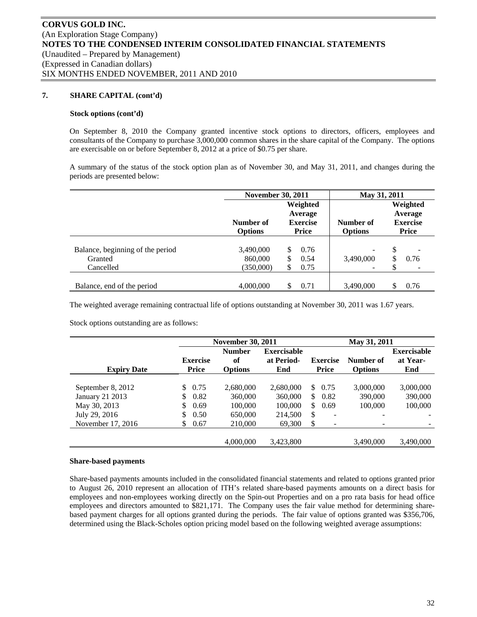# **7. SHARE CAPITAL (cont'd)**

#### **Stock options (cont'd)**

On September 8, 2010 the Company granted incentive stock options to directors, officers, employees and consultants of the Company to purchase 3,000,000 common shares in the share capital of the Company. The options are exercisable on or before September 8, 2012 at a price of \$0.75 per share.

A summary of the status of the stock option plan as of November 30, and May 31, 2011, and changes during the periods are presented below:

|                                  | <b>November 30, 2011</b> |    | May 31, 2011               |                |    |                            |
|----------------------------------|--------------------------|----|----------------------------|----------------|----|----------------------------|
|                                  |                          |    | Weighted                   |                |    | Weighted                   |
|                                  | Number of                |    | Average<br><b>Exercise</b> | Number of      |    | Average<br><b>Exercise</b> |
|                                  | <b>Options</b>           |    | Price                      | <b>Options</b> |    | <b>Price</b>               |
|                                  |                          |    |                            |                |    |                            |
| Balance, beginning of the period | 3,490,000                | \$ | 0.76                       | ۰              | \$ | ۰                          |
| Granted                          | 860,000                  | \$ | 0.54                       | 3,490,000      | \$ | 0.76                       |
| Cancelled                        | (350,000)                | S  | 0.75                       |                |    |                            |
|                                  |                          |    |                            |                |    |                            |
| Balance, end of the period       | 4,000,000                | S  | 0.71                       | 3.490,000      |    | 0.76                       |

The weighted average remaining contractual life of options outstanding at November 30, 2011 was 1.67 years.

Stock options outstanding are as follows:

|                    |                                 | <b>November 30, 2011</b>              |                                         |                                          | May 31, 2011                |                                       |  |  |
|--------------------|---------------------------------|---------------------------------------|-----------------------------------------|------------------------------------------|-----------------------------|---------------------------------------|--|--|
| <b>Expiry Date</b> | <b>Exercise</b><br><b>Price</b> | <b>Number</b><br>of<br><b>Options</b> | <b>Exercisable</b><br>at Period-<br>End | <b>Exercise</b><br><b>Price</b>          | Number of<br><b>Options</b> | <b>Exercisable</b><br>at Year-<br>End |  |  |
|                    |                                 |                                       |                                         |                                          |                             |                                       |  |  |
| September 8, 2012  | 0.75<br>\$                      | 2,680,000                             | 2,680,000                               | \$0.75                                   | 3,000,000                   | 3,000,000                             |  |  |
| January 21 2013    | \$<br>0.82                      | 360,000                               | 360,000                                 | \$0.82                                   | 390,000                     | 390,000                               |  |  |
| May 30, 2013       | \$<br>0.69                      | 100,000                               | 100,000                                 | $\mathbb{S}^-$<br>0.69                   | 100,000                     | 100,000                               |  |  |
| July 29, 2016      | \$<br>0.50                      | 650,000                               | 214,500                                 | \$<br>$\overline{\phantom{0}}$           | ۰                           |                                       |  |  |
| November 17, 2016  | \$<br>0.67                      | 210,000                               | 69,300                                  | $\mathbb{S}$<br>$\overline{\phantom{a}}$ | $\overline{\phantom{0}}$    |                                       |  |  |
|                    |                                 |                                       |                                         |                                          |                             |                                       |  |  |
|                    |                                 | 4,000,000                             | 3,423,800                               |                                          | 3,490,000                   | 3,490,000                             |  |  |

#### **Share-based payments**

Share-based payments amounts included in the consolidated financial statements and related to options granted prior to August 26, 2010 represent an allocation of ITH's related share-based payments amounts on a direct basis for employees and non-employees working directly on the Spin-out Properties and on a pro rata basis for head office employees and directors amounted to \$821,171. The Company uses the fair value method for determining sharebased payment charges for all options granted during the periods. The fair value of options granted was \$356,706, determined using the Black-Scholes option pricing model based on the following weighted average assumptions: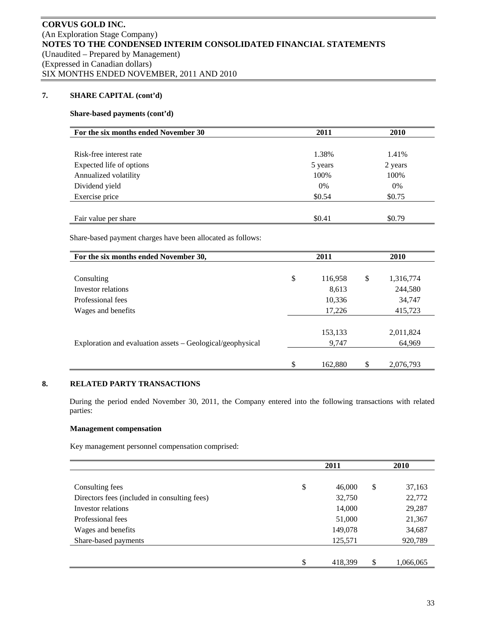# **7. SHARE CAPITAL (cont'd)**

# **Share-based payments (cont'd)**

| For the six months ended November 30 | 2011    | <b>2010</b> |
|--------------------------------------|---------|-------------|
|                                      |         |             |
| Risk-free interest rate              | 1.38%   | 1.41%       |
| Expected life of options             | 5 years | 2 years     |
| Annualized volatility                | 100%    | 100%        |
| Dividend yield                       | 0%      | 0%          |
| Exercise price                       | \$0.54  | \$0.75      |
|                                      |         |             |
| Fair value per share                 | \$0.41  | \$0.79      |

Share-based payment charges have been allocated as follows:

| For the six months ended November 30,                      | 2011          | 2010            |  |  |
|------------------------------------------------------------|---------------|-----------------|--|--|
|                                                            |               |                 |  |  |
| Consulting                                                 | \$<br>116,958 | \$<br>1,316,774 |  |  |
| Investor relations                                         | 8,613         | 244,580         |  |  |
| Professional fees                                          | 10,336        | 34,747          |  |  |
| Wages and benefits                                         | 17,226        | 415,723         |  |  |
|                                                            |               |                 |  |  |
|                                                            | 153,133       | 2,011,824       |  |  |
| Exploration and evaluation assets – Geological/geophysical | 9,747         | 64,969          |  |  |
|                                                            |               |                 |  |  |
|                                                            | \$<br>162,880 | \$<br>2,076,793 |  |  |

# **8. RELATED PARTY TRANSACTIONS**

During the period ended November 30, 2011, the Company entered into the following transactions with related parties:

# **Management compensation**

Key management personnel compensation comprised:

|                                              | 2011          |    | <b>2010</b> |  |  |
|----------------------------------------------|---------------|----|-------------|--|--|
|                                              |               |    |             |  |  |
| Consulting fees                              | \$<br>46,000  | \$ | 37,163      |  |  |
| Directors fees (included in consulting fees) | 32,750        |    | 22,772      |  |  |
| Investor relations                           | 14,000        |    | 29,287      |  |  |
| Professional fees                            | 51,000        |    | 21,367      |  |  |
| Wages and benefits                           | 149,078       |    | 34,687      |  |  |
| Share-based payments                         | 125,571       |    | 920,789     |  |  |
|                                              |               |    |             |  |  |
|                                              | \$<br>418,399 | S  | 1,066,065   |  |  |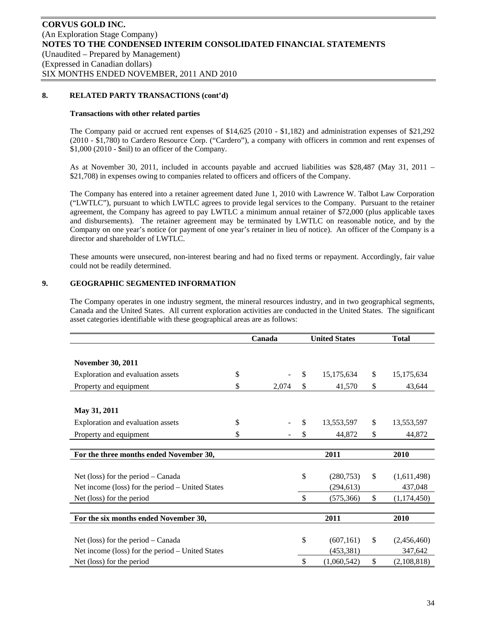# **8. RELATED PARTY TRANSACTIONS (cont'd)**

### **Transactions with other related parties**

The Company paid or accrued rent expenses of \$14,625 (2010 - \$1,182) and administration expenses of \$21,292 (2010 - \$1,780) to Cardero Resource Corp. ("Cardero"), a company with officers in common and rent expenses of \$1,000 (2010 - \$nil) to an officer of the Company.

As at November 30, 2011, included in accounts payable and accrued liabilities was \$28,487 (May 31, 2011 – \$21,708) in expenses owing to companies related to officers and officers of the Company.

The Company has entered into a retainer agreement dated June 1, 2010 with Lawrence W. Talbot Law Corporation ("LWTLC"), pursuant to which LWTLC agrees to provide legal services to the Company. Pursuant to the retainer agreement, the Company has agreed to pay LWTLC a minimum annual retainer of \$72,000 (plus applicable taxes and disbursements). The retainer agreement may be terminated by LWTLC on reasonable notice, and by the Company on one year's notice (or payment of one year's retainer in lieu of notice). An officer of the Company is a director and shareholder of LWTLC.

These amounts were unsecured, non-interest bearing and had no fixed terms or repayment. Accordingly, fair value could not be readily determined.

### **9. GEOGRAPHIC SEGMENTED INFORMATION**

The Company operates in one industry segment, the mineral resources industry, and in two geographical segments, Canada and the United States. All current exploration activities are conducted in the United States. The significant asset categories identifiable with these geographical areas are as follows:

|                                                  | Canada      | <b>United States</b> |             |    | <b>Total</b> |  |  |
|--------------------------------------------------|-------------|----------------------|-------------|----|--------------|--|--|
|                                                  |             |                      |             |    |              |  |  |
| <b>November 30, 2011</b>                         |             |                      |             |    |              |  |  |
| Exploration and evaluation assets                | \$          | \$                   | 15,175,634  | \$ | 15, 175, 634 |  |  |
| Property and equipment                           | \$<br>2,074 | \$                   | 41,570      | \$ | 43,644       |  |  |
|                                                  |             |                      |             |    |              |  |  |
| May 31, 2011                                     |             |                      |             |    |              |  |  |
| Exploration and evaluation assets                | \$          | \$                   | 13,553,597  | \$ | 13,553,597   |  |  |
| Property and equipment                           | \$          | \$                   | 44,872      | \$ | 44,872       |  |  |
|                                                  |             |                      |             |    |              |  |  |
| For the three months ended November 30,          |             |                      | 2011        |    | 2010         |  |  |
|                                                  |             |                      |             |    |              |  |  |
| Net (loss) for the period $-$ Canada             |             | \$                   | (280,753)   | \$ | (1,611,498)  |  |  |
| Net income (loss) for the period – United States |             |                      | (294, 613)  |    | 437,048      |  |  |
| Net (loss) for the period                        |             | $\mathbb{S}$         | (575, 366)  | \$ | (1,174,450)  |  |  |
|                                                  |             |                      |             |    |              |  |  |
| For the six months ended November 30,            |             |                      | 2011        |    | 2010         |  |  |
|                                                  |             |                      |             |    |              |  |  |
| Net (loss) for the period $-$ Canada             |             | \$                   | (607, 161)  | \$ | (2,456,460)  |  |  |
| Net income (loss) for the period – United States |             |                      | (453, 381)  |    | 347,642      |  |  |
| Net (loss) for the period                        |             | \$                   | (1,060,542) | \$ | (2,108,818)  |  |  |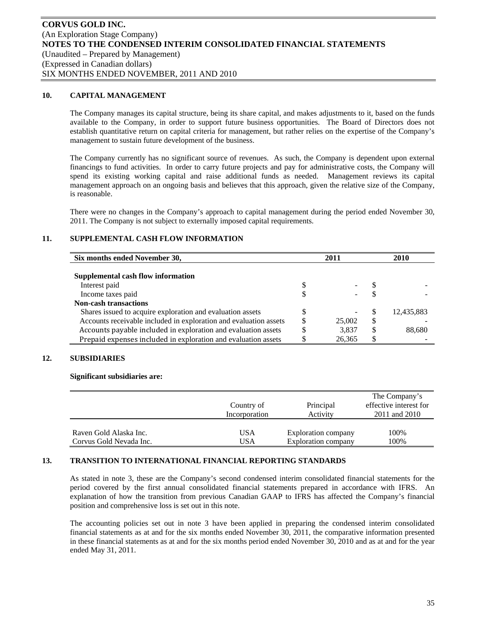### **10. CAPITAL MANAGEMENT**

The Company manages its capital structure, being its share capital, and makes adjustments to it, based on the funds available to the Company, in order to support future business opportunities. The Board of Directors does not establish quantitative return on capital criteria for management, but rather relies on the expertise of the Company's management to sustain future development of the business.

The Company currently has no significant source of revenues. As such, the Company is dependent upon external financings to fund activities. In order to carry future projects and pay for administrative costs, the Company will spend its existing working capital and raise additional funds as needed. Management reviews its capital management approach on an ongoing basis and believes that this approach, given the relative size of the Company, is reasonable.

There were no changes in the Company's approach to capital management during the period ended November 30, 2011. The Company is not subject to externally imposed capital requirements.

# **11. SUPPLEMENTAL CASH FLOW INFORMATION**

| Six months ended November 30,                                     |    | 2011   |    | <b>2010</b> |
|-------------------------------------------------------------------|----|--------|----|-------------|
|                                                                   |    |        |    |             |
| Supplemental cash flow information                                |    |        |    |             |
| Interest paid                                                     |    |        |    |             |
| Income taxes paid                                                 |    |        |    |             |
| <b>Non-cash transactions</b>                                      |    |        |    |             |
| Shares issued to acquire exploration and evaluation assets        |    |        | S  | 12,435,883  |
| Accounts receivable included in exploration and evaluation assets | \$ | 25,002 | \$ |             |
| Accounts payable included in exploration and evaluation assets    | S  | 3,837  | S  | 88,680      |
| Prepaid expenses included in exploration and evaluation assets    |    | 26,365 | \$ |             |

# **12. SUBSIDIARIES**

#### **Significant subsidiaries are:**

|                         | Country of<br>Incorporation | Principal<br>Activity | The Company's<br>effective interest for<br>2011 and 2010 |
|-------------------------|-----------------------------|-----------------------|----------------------------------------------------------|
| Raven Gold Alaska Inc.  | USA                         | Exploration company   | 100%                                                     |
| Corvus Gold Nevada Inc. | USA                         | Exploration company   | 100%                                                     |

# **13. TRANSITION TO INTERNATIONAL FINANCIAL REPORTING STANDARDS**

As stated in note 3, these are the Company's second condensed interim consolidated financial statements for the period covered by the first annual consolidated financial statements prepared in accordance with IFRS. An explanation of how the transition from previous Canadian GAAP to IFRS has affected the Company's financial position and comprehensive loss is set out in this note.

The accounting policies set out in note 3 have been applied in preparing the condensed interim consolidated financial statements as at and for the six months ended November 30, 2011, the comparative information presented in these financial statements as at and for the six months period ended November 30, 2010 and as at and for the year ended May 31, 2011.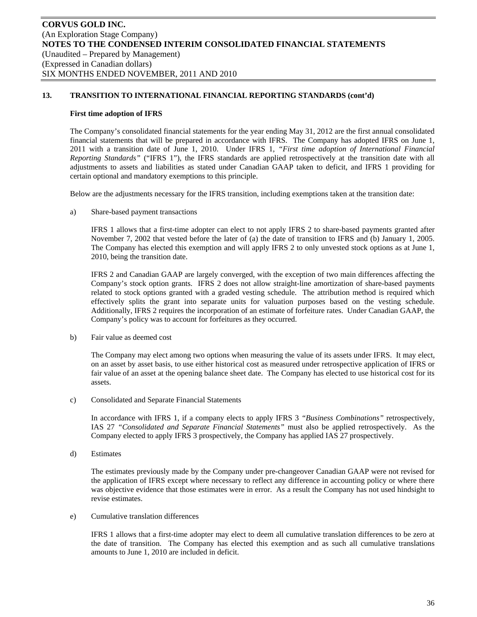### **First time adoption of IFRS**

The Company's consolidated financial statements for the year ending May 31, 2012 are the first annual consolidated financial statements that will be prepared in accordance with IFRS. The Company has adopted IFRS on June 1, 2011 with a transition date of June 1, 2010. Under IFRS 1*, "First time adoption of International Financial Reporting Standards"* ("IFRS 1"), the IFRS standards are applied retrospectively at the transition date with all adjustments to assets and liabilities as stated under Canadian GAAP taken to deficit, and IFRS 1 providing for certain optional and mandatory exemptions to this principle.

Below are the adjustments necessary for the IFRS transition, including exemptions taken at the transition date:

a) Share-based payment transactions

IFRS 1 allows that a first-time adopter can elect to not apply IFRS 2 to share-based payments granted after November 7, 2002 that vested before the later of (a) the date of transition to IFRS and (b) January 1, 2005. The Company has elected this exemption and will apply IFRS 2 to only unvested stock options as at June 1, 2010, being the transition date.

IFRS 2 and Canadian GAAP are largely converged, with the exception of two main differences affecting the Company's stock option grants. IFRS 2 does not allow straight-line amortization of share-based payments related to stock options granted with a graded vesting schedule. The attribution method is required which effectively splits the grant into separate units for valuation purposes based on the vesting schedule. Additionally, IFRS 2 requires the incorporation of an estimate of forfeiture rates. Under Canadian GAAP, the Company's policy was to account for forfeitures as they occurred.

b) Fair value as deemed cost

The Company may elect among two options when measuring the value of its assets under IFRS. It may elect, on an asset by asset basis, to use either historical cost as measured under retrospective application of IFRS or fair value of an asset at the opening balance sheet date. The Company has elected to use historical cost for its assets.

c) Consolidated and Separate Financial Statements

In accordance with IFRS 1, if a company elects to apply IFRS 3 *"Business Combinations"* retrospectively, IAS 27 *"Consolidated and Separate Financial Statements"* must also be applied retrospectively. As the Company elected to apply IFRS 3 prospectively, the Company has applied IAS 27 prospectively.

d) Estimates

The estimates previously made by the Company under pre-changeover Canadian GAAP were not revised for the application of IFRS except where necessary to reflect any difference in accounting policy or where there was objective evidence that those estimates were in error. As a result the Company has not used hindsight to revise estimates.

e) Cumulative translation differences

IFRS 1 allows that a first-time adopter may elect to deem all cumulative translation differences to be zero at the date of transition. The Company has elected this exemption and as such all cumulative translations amounts to June 1, 2010 are included in deficit.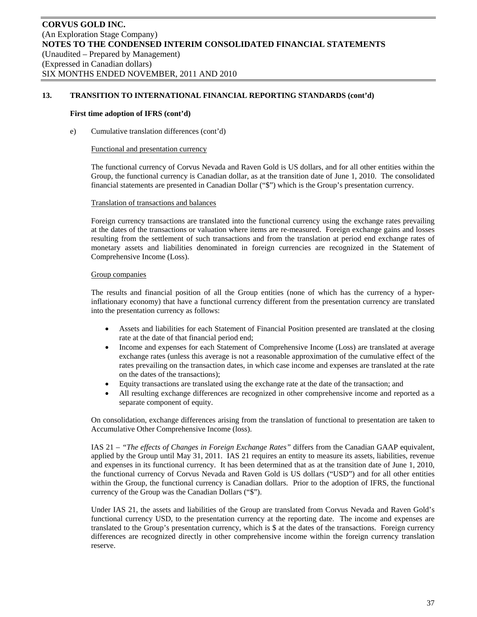#### **First time adoption of IFRS (cont'd)**

e) Cumulative translation differences (cont'd)

#### Functional and presentation currency

The functional currency of Corvus Nevada and Raven Gold is US dollars, and for all other entities within the Group, the functional currency is Canadian dollar, as at the transition date of June 1, 2010. The consolidated financial statements are presented in Canadian Dollar ("\$") which is the Group's presentation currency.

#### Translation of transactions and balances

Foreign currency transactions are translated into the functional currency using the exchange rates prevailing at the dates of the transactions or valuation where items are re-measured. Foreign exchange gains and losses resulting from the settlement of such transactions and from the translation at period end exchange rates of monetary assets and liabilities denominated in foreign currencies are recognized in the Statement of Comprehensive Income (Loss).

### Group companies

The results and financial position of all the Group entities (none of which has the currency of a hyperinflationary economy) that have a functional currency different from the presentation currency are translated into the presentation currency as follows:

- Assets and liabilities for each Statement of Financial Position presented are translated at the closing rate at the date of that financial period end;
- Income and expenses for each Statement of Comprehensive Income (Loss) are translated at average exchange rates (unless this average is not a reasonable approximation of the cumulative effect of the rates prevailing on the transaction dates, in which case income and expenses are translated at the rate on the dates of the transactions);
- Equity transactions are translated using the exchange rate at the date of the transaction; and
- All resulting exchange differences are recognized in other comprehensive income and reported as a separate component of equity.

On consolidation, exchange differences arising from the translation of functional to presentation are taken to Accumulative Other Comprehensive Income (loss).

IAS 21 – *"The effects of Changes in Foreign Exchange Rates"* differs from the Canadian GAAP equivalent, applied by the Group until May 31, 2011. IAS 21 requires an entity to measure its assets, liabilities, revenue and expenses in its functional currency. It has been determined that as at the transition date of June 1, 2010, the functional currency of Corvus Nevada and Raven Gold is US dollars ("USD") and for all other entities within the Group, the functional currency is Canadian dollars. Prior to the adoption of IFRS, the functional currency of the Group was the Canadian Dollars ("\$").

Under IAS 21, the assets and liabilities of the Group are translated from Corvus Nevada and Raven Gold's functional currency USD, to the presentation currency at the reporting date. The income and expenses are translated to the Group's presentation currency, which is \$ at the dates of the transactions. Foreign currency differences are recognized directly in other comprehensive income within the foreign currency translation reserve.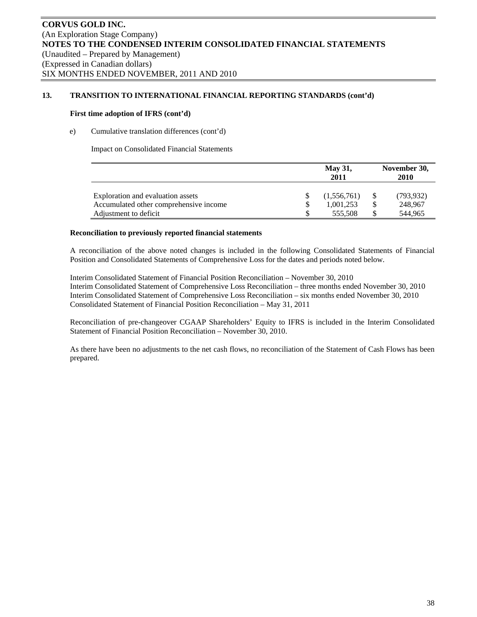## **First time adoption of IFRS (cont'd)**

# e) Cumulative translation differences (cont'd)

Impact on Consolidated Financial Statements

|                                        | <b>May 31,</b><br>2011 |    | November 30,<br>2010 |  |  |  |
|----------------------------------------|------------------------|----|----------------------|--|--|--|
| Exploration and evaluation assets      | (1,556,761)            |    | (793, 932)           |  |  |  |
| Accumulated other comprehensive income | 1,001,253              | \$ | 248,967              |  |  |  |
| Adjustment to deficit                  | 555.508                | S  | 544.965              |  |  |  |

## **Reconciliation to previously reported financial statements**

A reconciliation of the above noted changes is included in the following Consolidated Statements of Financial Position and Consolidated Statements of Comprehensive Loss for the dates and periods noted below.

Interim Consolidated Statement of Financial Position Reconciliation – November 30, 2010 Interim Consolidated Statement of Comprehensive Loss Reconciliation – three months ended November 30, 2010 Interim Consolidated Statement of Comprehensive Loss Reconciliation – six months ended November 30, 2010 Consolidated Statement of Financial Position Reconciliation – May 31, 2011

Reconciliation of pre-changeover CGAAP Shareholders' Equity to IFRS is included in the Interim Consolidated Statement of Financial Position Reconciliation – November 30, 2010.

As there have been no adjustments to the net cash flows, no reconciliation of the Statement of Cash Flows has been prepared.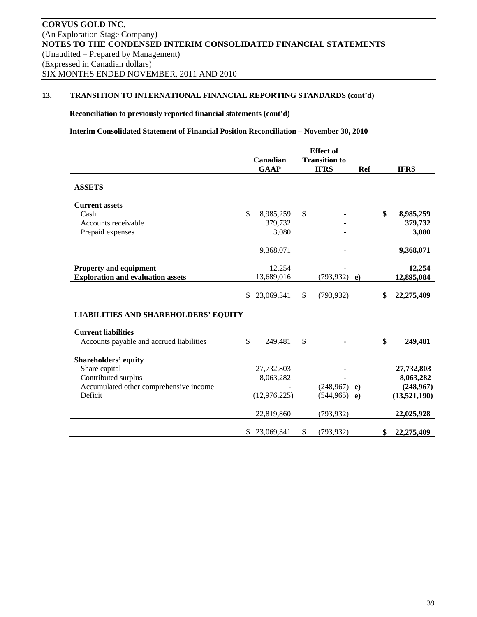**Reconciliation to previously reported financial statements (cont'd)** 

**Interim Consolidated Statement of Financial Position Reconciliation – November 30, 2010** 

|                                             |                  | <b>Effect</b> of     |            |                  |
|---------------------------------------------|------------------|----------------------|------------|------------------|
|                                             | Canadian         | <b>Transition to</b> |            |                  |
|                                             | <b>GAAP</b>      | <b>IFRS</b>          | Ref        | <b>IFRS</b>      |
| <b>ASSETS</b>                               |                  |                      |            |                  |
| <b>Current assets</b>                       |                  |                      |            |                  |
| Cash                                        | \$<br>8,985,259  | \$                   |            | \$<br>8,985,259  |
| Accounts receivable                         | 379,732          |                      |            | 379,732          |
| Prepaid expenses                            | 3,080            |                      |            | 3,080            |
|                                             | 9,368,071        |                      |            | 9,368,071        |
| <b>Property and equipment</b>               | 12,254           |                      |            | 12,254           |
| <b>Exploration and evaluation assets</b>    | 13,689,016       | (793, 932)           | $\epsilon$ | 12,895,084       |
|                                             | \$<br>23,069,341 | \$<br>(793, 932)     |            | \$<br>22,275,409 |
| <b>LIABILITIES AND SHAREHOLDERS' EQUITY</b> |                  |                      |            |                  |
| <b>Current liabilities</b>                  |                  |                      |            |                  |
| Accounts payable and accrued liabilities    | \$<br>249,481    | \$<br>$\blacksquare$ |            | \$<br>249,481    |
| <b>Shareholders' equity</b>                 |                  |                      |            |                  |
| Share capital                               | 27,732,803       |                      |            | 27,732,803       |
| Contributed surplus                         | 8,063,282        |                      |            | 8,063,282        |
| Accumulated other comprehensive income      |                  | (248,967)            | $\bf e)$   | (248,967)        |
| Deficit                                     | (12, 976, 225)   | (544, 965)           | $\bf e)$   | (13,521,190)     |
|                                             | 22,819,860       | (793, 932)           |            | 22,025,928       |
|                                             | \$<br>23,069,341 | \$<br>(793, 932)     |            | \$<br>22,275,409 |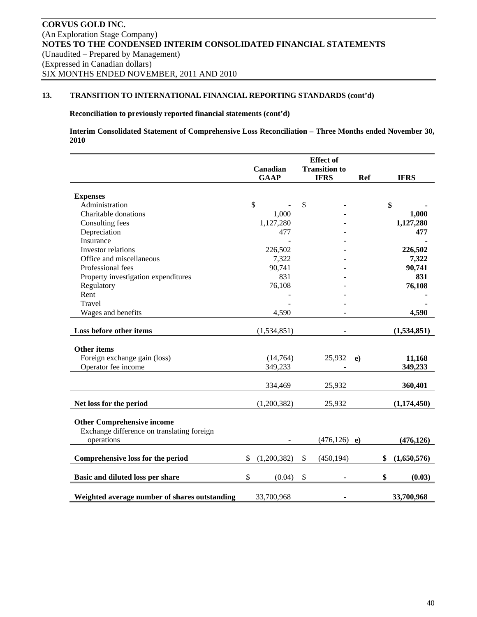# **Reconciliation to previously reported financial statements (cont'd)**

**Interim Consolidated Statement of Comprehensive Loss Reconciliation – Three Months ended November 30, 2010** 

|                                               |                   |               | <b>Effect</b> of     |            |                   |
|-----------------------------------------------|-------------------|---------------|----------------------|------------|-------------------|
|                                               | Canadian          |               | <b>Transition to</b> |            |                   |
|                                               | <b>GAAP</b>       |               | <b>IFRS</b>          | <b>Ref</b> | <b>IFRS</b>       |
|                                               |                   |               |                      |            |                   |
| <b>Expenses</b>                               |                   |               |                      |            |                   |
| Administration                                | $\mathbb{S}$      | $\mathcal{S}$ |                      |            | \$                |
| Charitable donations                          | 1,000             |               |                      |            | 1,000             |
| Consulting fees                               | 1,127,280         |               |                      |            | 1,127,280         |
| Depreciation                                  | 477               |               |                      |            | 477               |
| Insurance                                     |                   |               |                      |            |                   |
| Investor relations                            | 226,502           |               |                      |            | 226,502           |
| Office and miscellaneous                      | 7,322             |               |                      |            | 7,322             |
| Professional fees                             | 90,741            |               |                      |            | 90,741            |
| Property investigation expenditures           | 831               |               |                      |            | 831               |
| Regulatory                                    | 76,108            |               |                      |            | 76,108            |
| Rent                                          |                   |               |                      |            |                   |
| Travel                                        |                   |               |                      |            |                   |
| Wages and benefits                            | 4,590             |               |                      |            | 4,590             |
|                                               |                   |               |                      |            |                   |
| Loss before other items                       | (1,534,851)       |               |                      |            | (1,534,851)       |
| Other items                                   |                   |               |                      |            |                   |
| Foreign exchange gain (loss)                  | (14, 764)         |               | 25,932               | $\bf e)$   | 11,168            |
| Operator fee income                           | 349,233           |               |                      |            | 349,233           |
|                                               |                   |               |                      |            |                   |
|                                               | 334,469           |               | 25,932               |            | 360,401           |
| Net loss for the period                       | (1,200,382)       |               | 25,932               |            | (1, 174, 450)     |
|                                               |                   |               |                      |            |                   |
| <b>Other Comprehensive income</b>             |                   |               |                      |            |                   |
| Exchange difference on translating foreign    |                   |               |                      |            |                   |
| operations                                    |                   |               | $(476, 126)$ e)      |            | (476, 126)        |
| Comprehensive loss for the period             | \$<br>(1,200,382) | \$            | (450, 194)           |            | \$<br>(1,650,576) |
|                                               |                   |               |                      |            |                   |
| Basic and diluted loss per share              | \$<br>(0.04)      | \$            |                      |            | \$<br>(0.03)      |
| Weighted average number of shares outstanding | 33,700,968        |               |                      |            | 33,700,968        |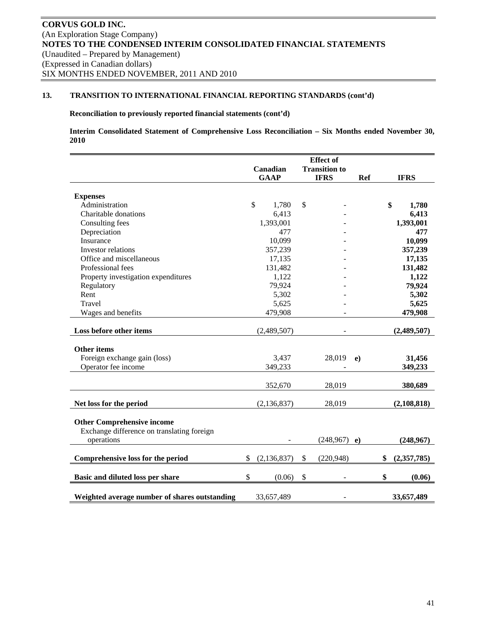# **Reconciliation to previously reported financial statements (cont'd)**

**Interim Consolidated Statement of Comprehensive Loss Reconciliation – Six Months ended November 30, 2010** 

|                                               | <b>Effect</b> of |                       |  |                      |            |            |                   |
|-----------------------------------------------|------------------|-----------------------|--|----------------------|------------|------------|-------------------|
|                                               | Canadian         |                       |  | <b>Transition to</b> |            |            |                   |
|                                               |                  | <b>GAAP</b>           |  | <b>IFRS</b>          |            | <b>Ref</b> | <b>IFRS</b>       |
|                                               |                  |                       |  |                      |            |            |                   |
| <b>Expenses</b>                               |                  |                       |  |                      |            |            |                   |
| Administration                                |                  | $\mathbb{S}$<br>1,780 |  | \$                   |            |            | \$<br>1,780       |
| Charitable donations                          |                  | 6,413                 |  |                      |            |            | 6,413             |
| Consulting fees                               |                  | 1,393,001             |  |                      |            |            | 1,393,001         |
| Depreciation                                  |                  | 477                   |  |                      |            |            | 477               |
| Insurance                                     |                  | 10,099                |  |                      |            |            | 10,099            |
| Investor relations                            |                  | 357,239               |  |                      |            |            | 357,239           |
| Office and miscellaneous                      |                  | 17,135                |  |                      |            |            | 17,135            |
| Professional fees                             |                  | 131,482               |  |                      |            |            | 131,482           |
| Property investigation expenditures           |                  | 1,122                 |  |                      |            |            | 1,122             |
| Regulatory                                    |                  | 79,924                |  |                      |            |            | 79,924            |
| Rent                                          |                  | 5,302                 |  |                      |            |            | 5,302             |
| Travel                                        |                  | 5,625                 |  |                      |            |            | 5,625             |
| Wages and benefits                            |                  | 479,908               |  |                      |            |            | 479,908           |
|                                               |                  |                       |  |                      |            |            |                   |
| Loss before other items                       |                  | (2,489,507)           |  |                      |            |            | (2,489,507)       |
| <b>Other items</b>                            |                  |                       |  |                      |            |            |                   |
| Foreign exchange gain (loss)                  |                  | 3,437                 |  |                      | 28,019     | e)         | 31,456            |
| Operator fee income                           |                  | 349,233               |  |                      |            |            | 349,233           |
|                                               |                  |                       |  |                      |            |            |                   |
|                                               |                  | 352,670               |  |                      | 28,019     |            | 380,689           |
| Net loss for the period                       |                  | (2, 136, 837)         |  |                      | 28,019     |            | (2,108,818)       |
|                                               |                  |                       |  |                      |            |            |                   |
| <b>Other Comprehensive income</b>             |                  |                       |  |                      |            |            |                   |
| Exchange difference on translating foreign    |                  |                       |  |                      |            |            |                   |
| operations                                    |                  |                       |  |                      | (248, 967) | e)         | (248,967)         |
|                                               |                  |                       |  |                      |            |            |                   |
| Comprehensive loss for the period             | \$               | (2, 136, 837)         |  | \$                   | (220, 948) |            | \$<br>(2,357,785) |
| Basic and diluted loss per share              | \$               | (0.06)                |  | \$                   |            |            | \$<br>(0.06)      |
|                                               |                  |                       |  |                      |            |            |                   |
| Weighted average number of shares outstanding |                  | 33,657,489            |  |                      |            |            | 33,657,489        |